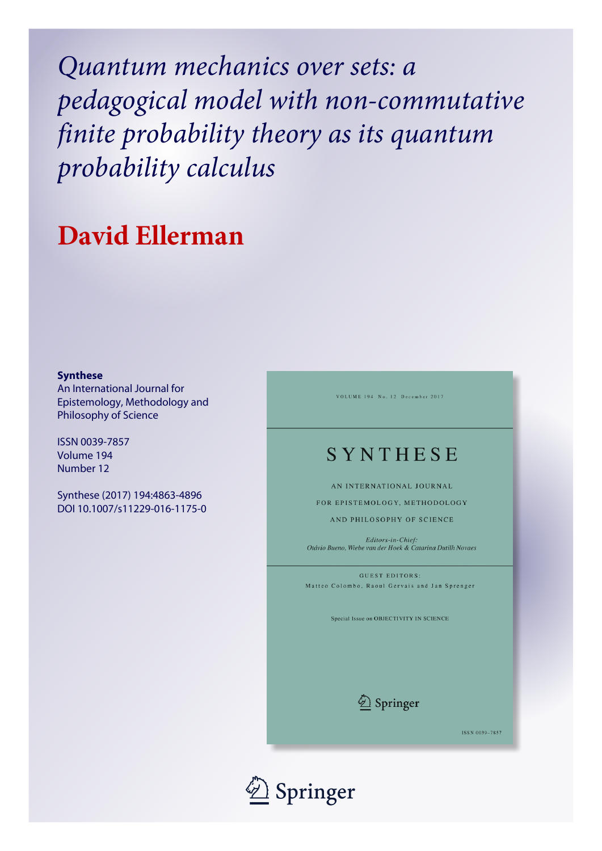*Quantum mechanics over sets: a pedagogical model with non-commutative finite probability theory as its quantum probability calculus*

# **David Ellerman**

#### **Synthese**

An International Journal for Epistemology, Methodology and Philosophy of Science

ISSN 0039-7857 Volume 194 Number 12

Synthese (2017) 194:4863-4896 DOI 10.1007/s11229-016-1175-0 VOLUME 194 No. 12 December 2017

# SYNTHESE

AN INTERNATIONAL JOURNAL

FOR EPISTEMOLOGY, METHODOLOGY

AND PHILOSOPHY OF SCIENCE

Editors-in-Chief: Otávio Bueno, Wiebe van der Hoek & Catarina Dutilh Novaes

GUEST EDITORS: Matteo Colombo, Raoul Gervais and Jan Sprenger

Special Issue on OBJECTIVITY IN SCIENCE



ISSN 0039-7857

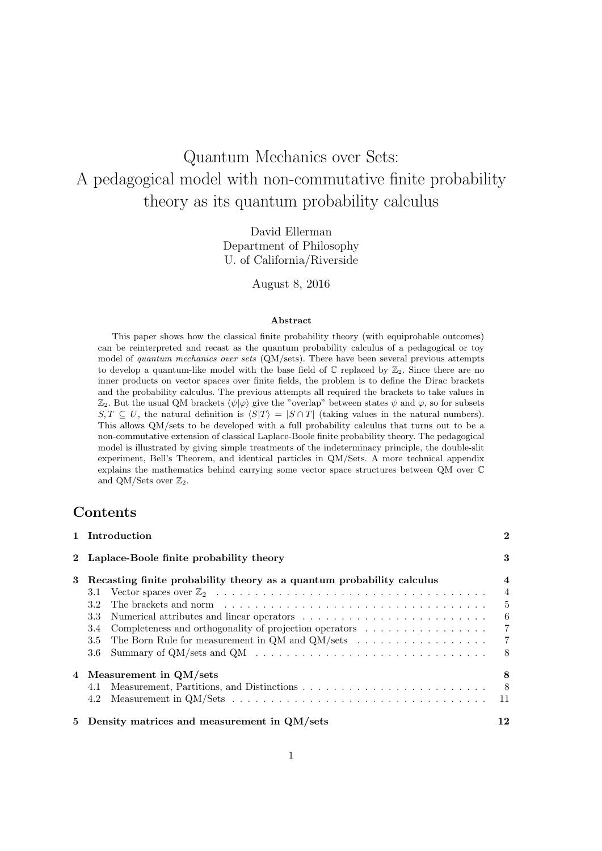# Quantum Mechanics over Sets: A pedagogical model with non-commutative finite probability theory as its quantum probability calculus

David Ellerman Department of Philosophy U. of California/Riverside

August 8, 2016

#### **Abstract**

This paper shows how the classical finite probability theory (with equiprobable outcomes) can be reinterpreted and recast as the quantum probability calculus of a pedagogical or toy model of *quantum mechanics over sets* (QM/sets). There have been several previous attempts to develop a quantum-like model with the base field of  $\mathbb C$  replaced by  $\mathbb Z_2$ . Since there are no inner products on vector spaces over finite fields, the problem is to define the Dirac brackets and the probability calculus. The previous attempts all required the brackets to take values in  $\mathbb{Z}_2$ . But the usual QM brackets  $\langle \psi | \varphi \rangle$  give the "overlap" between states  $\psi$  and  $\varphi$ , so for subsets *S, T* ⊆ *U*, the natural definition is  $\langle S|T \rangle = |S \cap T|$  (taking values in the natural numbers). This allows QM/sets to be developed with a full probability calculus that turns out to be a non-commutative extension of classical Laplace-Boole finite probability theory. The pedagogical model is illustrated by giving simple treatments of the indeterminacy principle, the double-slit experiment, Bell's Theorem, and identical particles in QM/Sets. A more technical appendix explains the mathematics behind carrying some vector space structures between QM over C and QM/Sets over  $\mathbb{Z}_2$ .

# **Contents**

|   | 1 Introduction                                                                                                 | $\mathbf 2$    |
|---|----------------------------------------------------------------------------------------------------------------|----------------|
|   | 2 Laplace-Boole finite probability theory                                                                      | 3              |
| 3 | Recasting finite probability theory as a quantum probability calculus                                          | 4              |
|   | 3.1                                                                                                            | $\overline{4}$ |
|   | 3.2                                                                                                            | $\frac{5}{2}$  |
|   | 3.3                                                                                                            | - 6            |
|   | Completeness and orthogonality of projection operators<br>3.4                                                  | $\overline{7}$ |
|   | The Born Rule for measurement in QM and QM/sets $\dots \dots \dots \dots \dots \dots$<br>3.5                   | $\overline{7}$ |
|   | Summary of QM/sets and QM $\dots \dots \dots \dots \dots \dots \dots \dots \dots \dots \dots \dots$<br>$3.6\,$ | - 8            |
|   | 4 Measurement in QM/sets                                                                                       | 8              |
|   | 4.1                                                                                                            | 8              |
|   | 4.2                                                                                                            | -11            |
|   | 5 Density matrices and measurement in QM/sets                                                                  | 12             |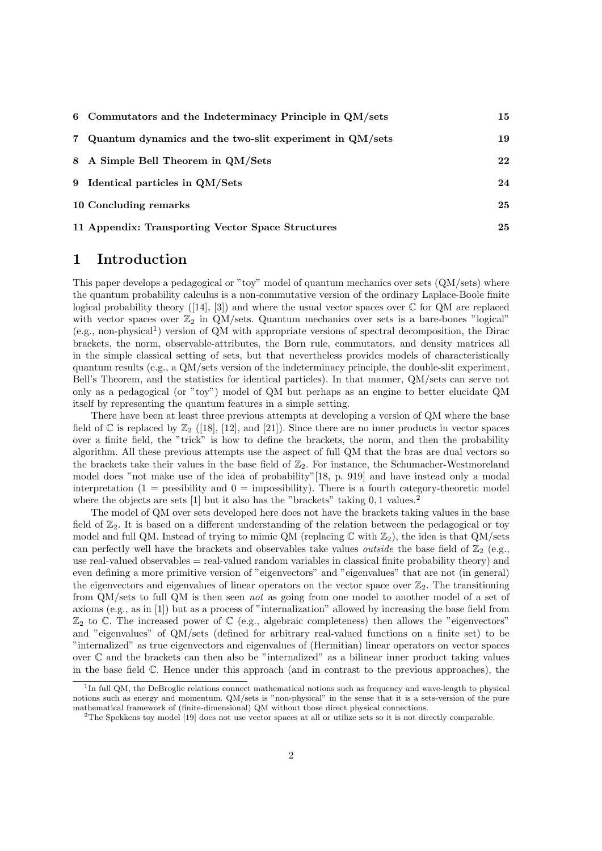| 6 Commutators and the Indeterminacy Principle in QM/sets  | 15 |
|-----------------------------------------------------------|----|
| 7 Quantum dynamics and the two-slit experiment in QM/sets | 19 |
| 8 A Simple Bell Theorem in QM/Sets                        | 22 |
| 9 Identical particles in QM/Sets                          | 24 |
| 10 Concluding remarks                                     | 25 |
| 11 Appendix: Transporting Vector Space Structures         | 25 |

### **1 Introduction**

This paper develops a pedagogical or "toy" model of quantum mechanics over sets (QM/sets) where the quantum probability calculus is a non-commutative version of the ordinary Laplace-Boole finite logical probability theory  $([14], [3])$  and where the usual vector spaces over  $\mathbb C$  for QM are replaced with vector spaces over  $\mathbb{Z}_2$  in QM/sets. Quantum mechanics over sets is a bare-bones "logical"  $(e.g., non-physical<sup>1</sup>)$  version of QM with appropriate versions of spectral decomposition, the Dirac brackets, the norm, observable-attributes, the Born rule, commutators, and density matrices all in the simple classical setting of sets, but that nevertheless provides models of characteristically quantum results (e.g., a QM/sets version of the indeterminacy principle, the double-slit experiment, Bell's Theorem, and the statistics for identical particles). In that manner, QM/sets can serve not only as a pedagogical (or "toy") model of QM but perhaps as an engine to better elucidate QM itself by representing the quantum features in a simple setting.

There have been at least three previous attempts at developing a version of QM where the base field of C is replaced by  $\mathbb{Z}_2$  ([18], [12], and [21]). Since there are no inner products in vector spaces over a finite field, the "trick" is how to define the brackets, the norm, and then the probability algorithm. All these previous attempts use the aspect of full QM that the bras are dual vectors so the brackets take their values in the base field of  $\mathbb{Z}_2$ . For instance, the Schumacher-Westmoreland model does "not make use of the idea of probability"[18, p. 919] and have instead only a modal interpretation  $(1 =$  possibility and  $0 =$  impossibility). There is a fourth category-theoretic model where the objects are sets [1] but it also has the "brackets" taking 0, 1 values.<sup>2</sup>

The model of QM over sets developed here does not have the brackets taking values in the base field of  $\mathbb{Z}_2$ . It is based on a different understanding of the relation between the pedagogical or toy model and full QM. Instead of trying to mimic QM (replacing  $\mathbb C$  with  $\mathbb Z_2$ ), the idea is that QM/sets can perfectly well have the brackets and observables take values *outside* the base field of  $\mathbb{Z}_2$  (e.g., use real-valued observables = real-valued random variables in classical finite probability theory) and even defining a more primitive version of "eigenvectors" and "eigenvalues" that are not (in general) the eigenvectors and eigenvalues of linear operators on the vector space over  $\mathbb{Z}_2$ . The transitioning from QM/sets to full QM is then seen *not* as going from one model to another model of a set of axioms (e.g., as in [1]) but as a process of "internalization" allowed by increasing the base field from  $\mathbb{Z}_2$  to C. The increased power of C (e.g., algebraic completeness) then allows the "eigenvectors" and "eigenvalues" of QM/sets (defined for arbitrary real-valued functions on a finite set) to be "internalized" as true eigenvectors and eigenvalues of (Hermitian) linear operators on vector spaces over C and the brackets can then also be "internalized" as a bilinear inner product taking values in the base field  $\mathbb C$ . Hence under this approach (and in contrast to the previous approaches), the

<sup>&</sup>lt;sup>1</sup>In full QM, the DeBroglie relations connect mathematical notions such as frequency and wave-length to physical notions such as energy and momentum. QM/sets is "non-physical" in the sense that it is a sets-version of the pure mathematical framework of (finite-dimensional) QM without those direct physical connections.

<sup>2</sup>The Spekkens toy model [19] does not use vector spaces at all or utilize sets so it is not directly comparable.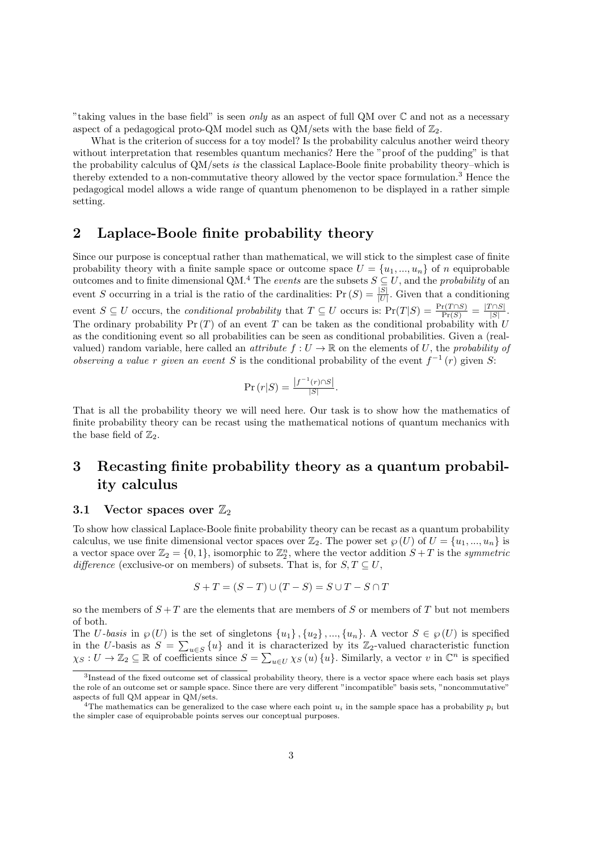"taking values in the base field" is seen *only* as an aspect of full QM over C and not as a necessary aspect of a pedagogical proto-QM model such as  $QM/sets$  with the base field of  $\mathbb{Z}_2$ .

What is the criterion of success for a toy model? Is the probability calculus another weird theory without interpretation that resembles quantum mechanics? Here the "proof of the pudding" is that the probability calculus of QM/sets *is* the classical Laplace-Boole finite probability theory–which is thereby extended to a non-commutative theory allowed by the vector space formulation.<sup>3</sup> Hence the pedagogical model allows a wide range of quantum phenomenon to be displayed in a rather simple setting.

# **2 Laplace-Boole finite probability theory**

Since our purpose is conceptual rather than mathematical, we will stick to the simplest case of finite probability theory with a finite sample space or outcome space  $U = \{u_1, ..., u_n\}$  of *n* equiprobable outcomes and to finite dimensional QM.<sup>4</sup> The *events* are the subsets  $S \subseteq U$ , and the *probability* of an event *S* occurring in a trial is the ratio of the cardinalities:  $Pr(S) = \frac{|S|}{|U|}$ . Given that a conditioning event  $S \subseteq U$  occurs, the *conditional probability* that  $T \subseteq U$  occurs is:  $Pr(T|S) = \frac{Pr(T \cap S)}{Pr(S)} = \frac{|T \cap S|}{|S|}$  $\frac{|I||S|}{|S|}$ . The ordinary probability  $Pr(T)$  of an event *T* can be taken as the conditional probability with *U* as the conditioning event so all probabilities can be seen as conditional probabilities. Given a (realvalued) random variable, here called an *attribute*  $f: U \to \mathbb{R}$  on the elements of *U*, the *probability of observing a value r given an event S* is the conditional probability of the event  $f^{-1}(r)$  given *S*:

$$
\Pr(r|S) = \frac{|f^{-1}(r) \cap S|}{|S|}.
$$

That is all the probability theory we will need here. Our task is to show how the mathematics of finite probability theory can be recast using the mathematical notions of quantum mechanics with the base field of  $\mathbb{Z}_2$ .

# **3 Recasting finite probability theory as a quantum probability calculus**

#### **3.1 Vector spaces over**  $\mathbb{Z}_2$

To show how classical Laplace-Boole finite probability theory can be recast as a quantum probability calculus, we use finite dimensional vector spaces over  $\mathbb{Z}_2$ . The power set  $\wp(U)$  of  $U = \{u_1, ..., u_n\}$  is a vector space over  $\mathbb{Z}_2 = \{0, 1\}$ , isomorphic to  $\mathbb{Z}_2^n$ , where the vector addition  $S + T$  is the *symmetric difference* (exclusive-or on members) of subsets. That is, for  $S, T \subseteq U$ ,

$$
S + T = (S - T) \cup (T - S) = S \cup T - S \cap T
$$

so the members of  $S + T$  are the elements that are members of *S* or members of *T* but not members of both.

The U-basis in  $\wp(U)$  is the set of singletons  $\{u_1\}$ ,  $\{u_2\}$ , ...,  $\{u_n\}$ . A vector  $S \in \wp(U)$  is specified in the *U*-basis as  $S = \sum_{u \in S} \{u\}$  and it is characterized by its Z<sub>2</sub>-valued characteristic function  $\chi_S: U \to \mathbb{Z}_2 \subseteq \mathbb{R}$  of coefficients since  $S = \sum_{u \in U} \chi_S(u) \{u\}$ . Similarly, a vector *v* in  $\mathbb{C}^n$  is specified

<sup>&</sup>lt;sup>3</sup>Instead of the fixed outcome set of classical probability theory, there is a vector space where each basis set plays the role of an outcome set or sample space. Since there are very different "incompatible" basis sets, "noncommutative" aspects of full QM appear in QM/sets.

<sup>&</sup>lt;sup>4</sup>The mathematics can be generalized to the case where each point  $u_i$  in the sample space has a probability  $p_i$  but the simpler case of equiprobable points serves our conceptual purposes.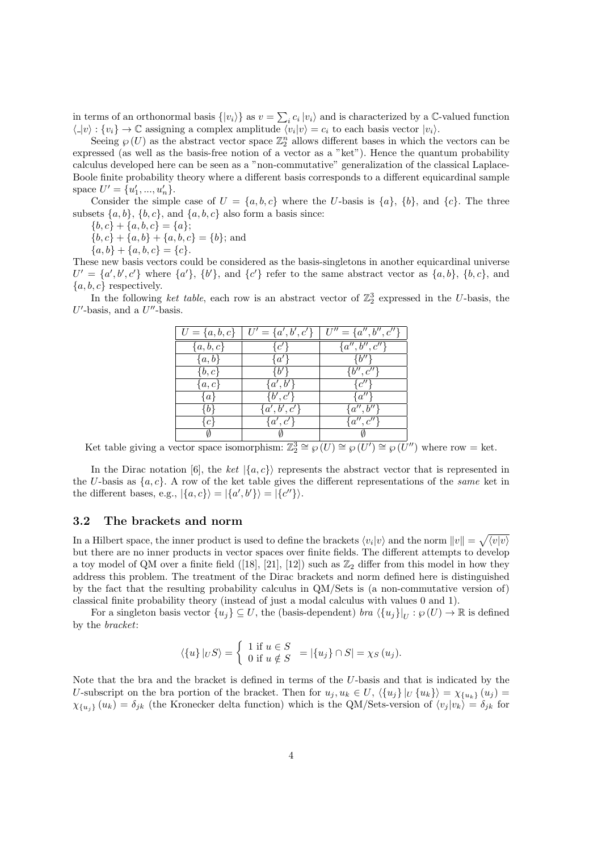in terms of an orthonormal basis  $\{|v_i\rangle\}$  as  $v = \sum_i c_i |v_i\rangle$  and is characterized by a  $\mathbb{C}$ -valued function  $\langle |v\rangle : \{v_i\} \to \mathbb{C}$  assigning a complex amplitude  $\langle v_i | v \rangle = c_i$  to each basis vector  $|v_i\rangle$ .

Seeing  $\wp(U)$  as the abstract vector space  $\mathbb{Z}_2^n$  allows different bases in which the vectors can be expressed (as well as the basis-free notion of a vector as a "ket"). Hence the quantum probability calculus developed here can be seen as a "non-commutative" generalization of the classical Laplace-Boole finite probability theory where a different basis corresponds to a different equicardinal sample space  $U' = \{u'_1, ..., u'_n\}.$ 

Consider the simple case of  $U = \{a, b, c\}$  where the *U*-basis is  $\{a\}$ ,  $\{b\}$ , and  $\{c\}$ . The three subsets  $\{a, b\}$ ,  $\{b, c\}$ , and  $\{a, b, c\}$  also form a basis since:

 ${b, c}$  +  ${a, b, c}$  =  ${a}$ ;

 ${b, c}$  +  ${a, b}$  +  ${a, b, c}$  =  ${b}$ ; and

 ${a, b}$  +  ${a, b, c}$  =  ${c}$ .

These new basis vectors could be considered as the basis-singletons in another equicardinal universe  $U' = \{a', b', c'\}$  where  $\{a'\}, \{b'\},$  and  $\{c'\}$  refer to the same abstract vector as  $\{a, b\}, \{b, c\},$  and *{a, b, c}* respectively.

In the following *ket table*, each row is an abstract vector of  $\mathbb{Z}_2^3$  expressed in the *U*-basis, the *U ′* -basis, and a *U ′′*-basis.

| $U = \{a, b, c\}$ | $U' = \{a', b', c'\}$ | $U'' = \{a'', b'', c''\}$ |
|-------------------|-----------------------|---------------------------|
| $\{a,b,c\}$       | $\{c'\}$              | ${a'',b'',c''\}$          |
| $\{a,b\}$         | $\{a'\}$              | $\{b^{\prime\prime}\}$    |
| $\{b,c\}$         | ₹6′.                  | $\{b'', c''\}$            |
| $\{a,c\}$         | $\{a',b'\}$           | $\{c''\}$                 |
| $\{a\}$           | $\{b',c'\}$           | $\{a^{\prime\prime}\}\$   |
| łb∤               | $\{a',b',c'\}$        | ${a'', b''}$              |
| $\{c\}$           | $\{a',c'\}$           | $\{a'',c''\}$             |
|                   |                       |                           |

Ket table giving a vector space isomorphism:  $\mathbb{Z}_{2}^{3} \cong \wp(U) \cong \wp(U') \cong \wp(U'')$  where row = ket.

In the Dirac notation [6], the *ket*  $|\{a, c\}\rangle$  represents the abstract vector that is represented in the *U*-basis as *{a, c}*. A row of the ket table gives the different representations of the *same* ket in the different bases, e.g.,  $|\{a, c\}\rangle = |\{a', b'\}\rangle = |\{c''\}\rangle$ .

#### **3.2 The brackets and norm**

In a Hilbert space, the inner product is used to define the brackets  $\langle v_i | v \rangle$  and the norm  $||v|| = \sqrt{\langle v | v \rangle}$ but there are no inner products in vector spaces over finite fields. The different attempts to develop a toy model of QM over a finite field ([18], [21], [12]) such as  $\mathbb{Z}_2$  differ from this model in how they address this problem. The treatment of the Dirac brackets and norm defined here is distinguished by the fact that the resulting probability calculus in QM/Sets is (a non-commutative version of) classical finite probability theory (instead of just a modal calculus with values 0 and 1).

For a singleton basis vector  $\{u_j\} \subseteq U$ , the (basis-dependent) *bra*  $\langle \{u_j\}|_U : \wp(U) \to \mathbb{R}$  is defined by the *bracket*:

$$
\langle \{u\} |_{U} S \rangle = \begin{cases} 1 \text{ if } u \in S \\ 0 \text{ if } u \notin S \end{cases} = |\{u_j\} \cap S| = \chi_S(u_j).
$$

Note that the bra and the bracket is defined in terms of the *U*-basis and that is indicated by the U-subscript on the bra portion of the bracket. Then for  $u_i, u_k \in U$ ,  $\langle \{u_i\} | U \{u_k\} \rangle = \chi_{\{u_k\}}(u_i) =$  $\chi_{\{u_i\}}(u_k) = \delta_{jk}$  (the Kronecker delta function) which is the QM/Sets-version of  $\langle v_j | v_k \rangle = \delta_{jk}$  for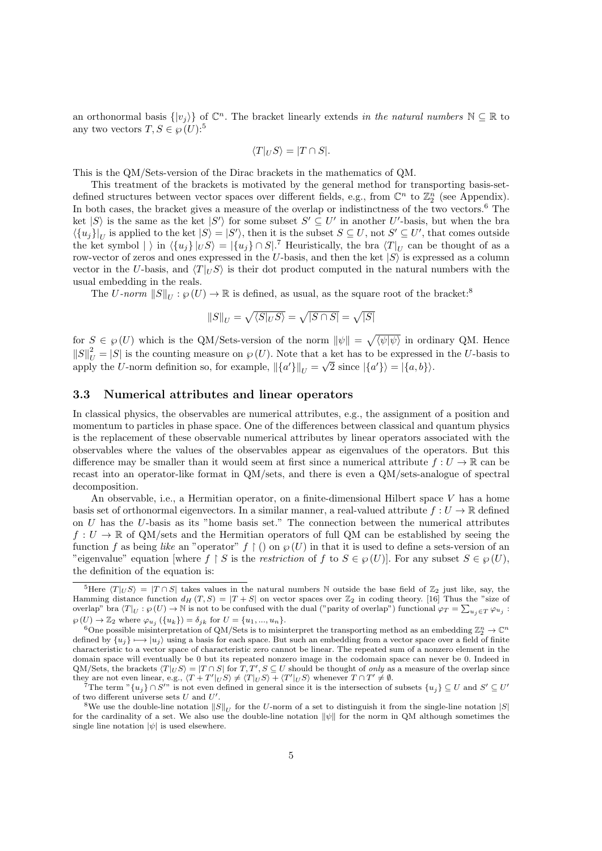an orthonormal basis  $\{|v_j\rangle\}$  of  $\mathbb{C}^n$ . The bracket linearly extends *in the natural numbers*  $\mathbb{N} \subseteq \mathbb{R}$  to any two vectors  $T, S \in \mathcal{O}(U)$ :<sup>5</sup>

$$
\langle T|_US\rangle = |T \cap S|.
$$

This is the QM/Sets-version of the Dirac brackets in the mathematics of QM.

This treatment of the brackets is motivated by the general method for transporting basis-setdefined structures between vector spaces over different fields, e.g., from  $\mathbb{C}^n$  to  $\mathbb{Z}_2^n$  (see Appendix). In both cases, the bracket gives a measure of the overlap or indistinctness of the two vectors.<sup>6</sup> The ket  $|S\rangle$  is the same as the ket  $|S'\rangle$  for some subset  $S' \subseteq U'$  in another U'-basis, but when the bra  $\langle \{u_j\}\vert_U$  is applied to the ket  $|S\rangle = |S'\rangle$ , then it is the subset  $S \subseteq U$ , not  $S' \subseteq U'$ , that comes outside the ket symbol  $|\rangle$  in  $\langle \{u_j\}|_U S \rangle = |\{u_j\} \cap S|^{\mathcal{T}}$  Heuristically, the bra  $\langle T|_U$  can be thought of as a row-vector of zeros and ones expressed in the *U*-basis, and then the ket *|S⟩* is expressed as a column vector in the *U*-basis, and  $\langle T|_U S \rangle$  is their dot product computed in the natural numbers with the usual embedding in the reals.

The *U*-norm  $||S||_U : \varphi(U) \to \mathbb{R}$  is defined, as usual, as the square root of the bracket:<sup>8</sup>

$$
\|S\|_U = \sqrt{\langle S|_US\rangle} = \sqrt{|S\cap S|} = \sqrt{|S|}
$$

for  $S \in \wp(U)$  which is the QM/Sets-version of the norm  $\|\psi\| = \sqrt{\langle \psi | \psi \rangle}$  in ordinary QM. Hence  $||S||_U^2 = |S|$  is the counting measure on  $\wp(U)$ . Note that a ket has to be expressed in the *U*-basis to apply the *U*-norm definition so, for example,  $\|\{a'\}\|_U = \sqrt{2}$  since  $|\{a'\}\rangle = |\{a,b\}\rangle$ .

#### **3.3 Numerical attributes and linear operators**

In classical physics, the observables are numerical attributes, e.g., the assignment of a position and momentum to particles in phase space. One of the differences between classical and quantum physics is the replacement of these observable numerical attributes by linear operators associated with the observables where the values of the observables appear as eigenvalues of the operators. But this difference may be smaller than it would seem at first since a numerical attribute  $f: U \to \mathbb{R}$  can be recast into an operator-like format in QM/sets, and there is even a QM/sets-analogue of spectral decomposition.

An observable, i.e., a Hermitian operator, on a finite-dimensional Hilbert space *V* has a home basis set of orthonormal eigenvectors. In a similar manner, a real-valued attribute  $f: U \to \mathbb{R}$  defined on *U* has the *U*-basis as its "home basis set." The connection between the numerical attributes  $f: U \to \mathbb{R}$  of QM/sets and the Hermitian operators of full QM can be established by seeing the function *f* as being *like* an "operator"  $f \restriction ($  on  $\wp(U)$  in that it is used to define a sets-version of an "eigenvalue" equation [where  $f \restriction S$  is the *restriction* of  $f$  to  $S \in \mathcal{B}(U)$ ]. For any subset  $S \in \mathcal{B}(U)$ , the definition of the equation is:

<sup>&</sup>lt;sup>5</sup>Here  $\langle T|_U S \rangle = |T \cap S|$  takes values in the natural numbers N outside the base field of  $\mathbb{Z}_2$  just like, say, the Hamming distance function  $d_H(T, S) = |T + S|$  on vector spaces over  $\mathbb{Z}_2$  in coding theory. [16] Thus the "size of overlap" bra  $\langle T|_U : \varphi(U) \to \mathbb{N}$  is not to be confused with the dual ("parity of overlap") functional  $\varphi_T = \sum_{u_j \in T} \varphi_{u_j}$ :  $\varphi$  (*U*)  $\to \mathbb{Z}_2$  where  $\varphi_{u_j}$  ({*u<sub>k</sub>*}) =  $\delta_{jk}$  for  $U = \{u_1, ..., u_n\}$ .

<sup>&</sup>lt;sup>6</sup>One possible misinterpretation of QM/Sets is to misinterpret the transporting method as an embedding  $\mathbb{Z}_2^n \to \mathbb{C}^n$ defined by  ${u_i} \rightarrow |u_i\rangle$  using a basis for each space. But such an embedding from a vector space over a field of finite characteristic to a vector space of characteristic zero cannot be linear. The repeated sum of a nonzero element in the domain space will eventually be 0 but its repeated nonzero image in the codomain space can never be 0. Indeed in QM/Sets, the brackets  $\langle T|_US \rangle = |T \cap S|$  for  $T, T', S \subseteq U$  should be thought of only as a measure of the overlap since they are not even linear, e.g.,  $\langle T+T'|_U S \rangle \neq \langle T|_U S \rangle + \langle T'|_U S \rangle$  whenever  $T \cap T' \neq \emptyset$ .

<sup>&</sup>lt;sup>7</sup>The term  $\lceil u_j \rceil \cap S''$  is not even defined in general since it is the intersection of subsets  $\{u_j\} \subseteq U$  and  $S' \subseteq U'$ of two different universe sets  $U$  and  $U^{\prime}$ .

<sup>&</sup>lt;sup>8</sup>We use the double-line notation  $||S||_U$  for the *U*-norm of a set to distinguish it from the single-line notation  $|S|$ for the cardinality of a set. We also use the double-line notation *∥ψ∥* for the norm in QM although sometimes the single line notation  $|\psi|$  is used elsewhere.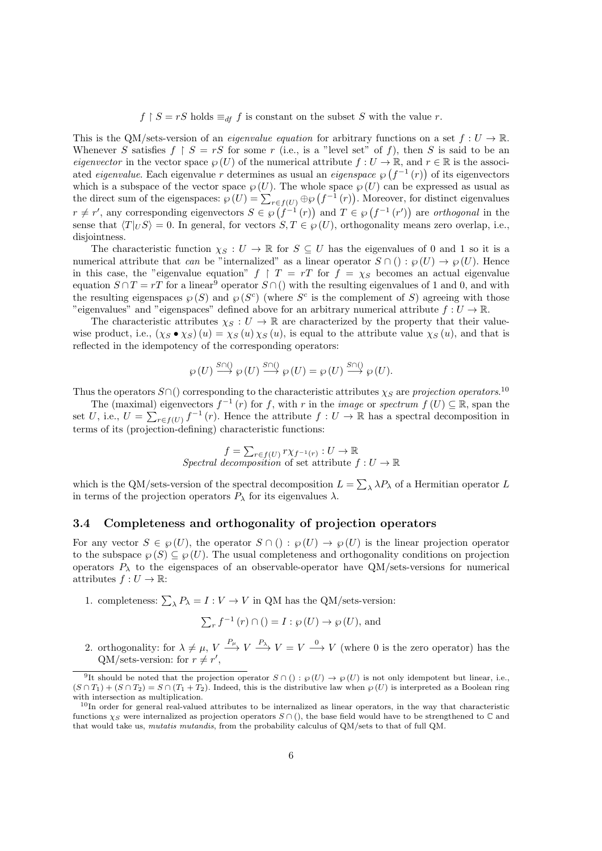$f \upharpoonright S = rS$  holds  $\equiv_{df} f$  is constant on the subset *S* with the value *r*.

This is the QM/sets-version of an *eigenvalue equation* for arbitrary functions on a set  $f: U \to \mathbb{R}$ . Whenever *S* satisfies  $f \restriction S = rS$  for some *r* (i.e., is a "level set" of *f*), then *S* is said to be an *eigenvector* in the vector space  $\wp(U)$  of the numerical attribute  $f: U \to \mathbb{R}$ , and  $r \in \mathbb{R}$  is the associated *eigenvalue*. Each eigenvalue *r* determines as usual an *eigenspace*  $\wp(f^{-1}(r))$  of its eigenvectors which is a subspace of the vector space  $\wp(U)$ . The whole space  $\wp(U)$  can be expressed as usual as the direct sum of the eigenspaces:  $\wp(U) = \sum_{r \in f(U)} \oplus \wp(f^{-1}(r))$ . Moreover, for distinct eigenvalues  $r \neq r'$ , any corresponding eigenvectors  $S \in \wp(f^{-1}(r))$  and  $T \in \wp(f^{-1}(r'))$  are *orthogonal* in the sense that  $\langle T|_U S \rangle = 0$ . In general, for vectors  $S, T \in \mathcal{P}(U)$ , orthogonality means zero overlap, i.e., disjointness.

The characteristic function  $\chi_S : U \to \mathbb{R}$  for  $S \subseteq U$  has the eigenvalues of 0 and 1 so it is a numerical attribute that *can* be "internalized" as a linear operator  $S \cap (): \wp(U) \rightarrow \wp(U)$ . Hence in this case, the "eigenvalue equation"  $f \upharpoonright T = rT$  for  $f = \chi_S$  becomes an actual eigenvalue equation  $S \cap T = rT$  for a linear<sup>9</sup> operator  $S \cap ($ ) with the resulting eigenvalues of 1 and 0, and with the resulting eigenspaces  $\wp(S)$  and  $\wp(S^c)$  (where  $S^c$  is the complement of *S*) agreeing with those "eigenvalues" and "eigenspaces" defined above for an arbitrary numerical attribute  $f: U \to \mathbb{R}$ .

The characteristic attributes  $\chi_S : U \to \mathbb{R}$  are characterized by the property that their valuewise product, i.e.,  $(\chi_S \bullet \chi_S)(u) = \chi_S(u) \chi_S(u)$ , is equal to the attribute value  $\chi_S(u)$ , and that is reflected in the idempotency of the corresponding operators:

$$
\wp(U) \stackrel{S \cap Q}{\longrightarrow} \wp(U) \stackrel{S \cap Q}{\longrightarrow} \wp(U) = \wp(U) \stackrel{S \cap Q}{\longrightarrow} \wp(U).
$$

Thus the operators  $S \cap ($ ) corresponding to the characteristic attributes  $\chi_S$  are *projection operators*.<sup>10</sup>

The (maximal) eigenvectors  $f^{-1}(r)$  for f, with r in the *image* or *spectrum*  $f(U) \subseteq \mathbb{R}$ , span the set *U*, i.e.,  $U = \sum_{r \in f(U)} f^{-1}(r)$ . Hence the attribute  $f: U \to \mathbb{R}$  has a spectral decomposition in terms of its (projection-defining) characteristic functions:

$$
f = \sum_{r \in f(U)} r \chi_{f^{-1}(r)} : U \to \mathbb{R}
$$
  
Spectral decomposition of set attribute  $f : U \to \mathbb{R}$ 

which is the QM/sets-version of the spectral decomposition  $L = \sum_{\lambda} \lambda P_{\lambda}$  of a Hermitian operator *L* in terms of the projection operators  $P_\lambda$  for its eigenvalues  $\lambda$ .

#### **3.4 Completeness and orthogonality of projection operators**

For any vector  $S \in \mathcal{G}(U)$ , the operator  $S \cap (x) : \mathcal{G}(U) \to \mathcal{G}(U)$  is the linear projection operator to the subspace  $\wp(S) \subseteq \wp(U)$ . The usual completeness and orthogonality conditions on projection operators  $P_{\lambda}$  to the eigenspaces of an observable-operator have  $QM/sets$ -versions for numerical attributes  $f: U \to \mathbb{R}$ :

1. completeness:  $\sum_{\lambda} P_{\lambda} = I : V \to V$  in QM has the QM/sets-version:

$$
\sum_{r} f^{-1}(r) \cap ( ) = I : \wp(U) \to \wp(U), \text{ and}
$$

2. orthogonality: for  $\lambda \neq \mu$ ,  $V \xrightarrow{P_{\mu}} V \xrightarrow{P_{\lambda}} V = V \xrightarrow{0} V$  (where 0 is the zero operator) has the  $QM/\text{sets-version: for } r \neq r'$ ,

<sup>&</sup>lt;sup>9</sup>It should be noted that the projection operator  $S \cap ( ) : \wp(U) \to \wp(U)$  is not only idempotent but linear, i.e.,  $(S \cap T_1) + (S \cap T_2) = S \cap (T_1 + T_2)$ . Indeed, this is the distributive law when  $\varphi(U)$  is interpreted as a Boolean ring with intersection as multiplication.

 $10$ In order for general real-valued attributes to be internalized as linear operators, in the way that characteristic functions  $\chi_S$  were internalized as projection operators  $S \cap ($ , the base field would have to be strengthened to  $\mathbb C$  and that would take us, *mutatis mutandis*, from the probability calculus of QM/sets to that of full QM.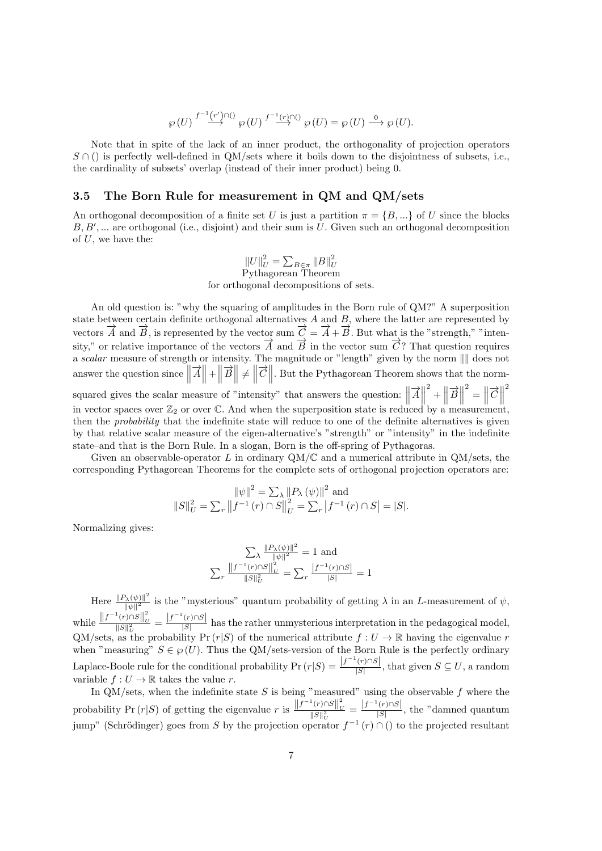$$
\wp(U) \stackrel{f^{-1}(r') \cap ()}{\longrightarrow} \wp(U) \stackrel{f^{-1}(r) \cap ()}{\longrightarrow} \wp(U) = \wp(U) \stackrel{0}{\longrightarrow} \wp(U).
$$

Note that in spite of the lack of an inner product, the orthogonality of projection operators *S* ∩ () is perfectly well-defined in QM/sets where it boils down to the disjointness of subsets, i.e., the cardinality of subsets' overlap (instead of their inner product) being 0.

#### **3.5 The Born Rule for measurement in QM and QM/sets**

An orthogonal decomposition of a finite set *U* is just a partition  $\pi = \{B, ...\}$  of *U* since the blocks *B, B′ , ...* are orthogonal (i.e., disjoint) and their sum is *U*. Given such an orthogonal decomposition of *U*, we have the:

# $||U||_U^2 = \sum_{B \in \pi} ||B||_U^2$ <br>Pythagorean Theorem for orthogonal decompositions of sets.

An old question is: "why the squaring of amplitudes in the Born rule of QM?" A superposition state between certain definite orthogonal alternatives *A* and *B*, where the latter are represented by vectors  $\overrightarrow{A}$  and  $\overrightarrow{B}$ , is represented by the vector sum  $\overrightarrow{C} = \overrightarrow{A} + \overrightarrow{B}$ . But what is the "strength," "intensity," or relative importance of the vectors  $\overrightarrow{A}$  and  $\overrightarrow{B}$  in the vector sum  $\overrightarrow{C}$ ? That question requires a *scalar* measure of strength or intensity. The magnitude or "length" given by the norm *∥∥* does not answer the question since  $\|\vec{A}\| + \|\vec{B}\| \neq \|\vec{C}\|$ . But the Pythagorean Theorem shows that the normsquared gives the scalar measure of "intensity" that answers the question:  $\|\vec{A}\|$  $\frac{2}{1} + \left\| \overrightarrow{B} \right\|$  $\left\| \vec{C} \right\|$ 2 in vector spaces over  $\mathbb{Z}_2$  or over  $\mathbb{C}$ . And when the superposition state is reduced by a measurement, then the *probability* that the indefinite state will reduce to one of the definite alternatives is given by that relative scalar measure of the eigen-alternative's "strength" or "intensity" in the indefinite state–and that is the Born Rule. In a slogan, Born is the off-spring of Pythagoras.

Given an observable-operator *L* in ordinary  $QM/C$  and a numerical attribute in  $QM/\text{sets}$ , the corresponding Pythagorean Theorems for the complete sets of orthogonal projection operators are:

$$
\|\psi\|^2 = \sum_{\lambda} \|P_{\lambda}(\psi)\|^2 \text{ and}
$$
  

$$
\|S\|_U^2 = \sum_{r} \|f^{-1}(r) \cap S\|_U^2 = \sum_{r} |f^{-1}(r) \cap S| = |S|.
$$

Normalizing gives:

$$
\sum_{\lambda} \frac{\|P_{\lambda}(\psi)\|^2}{\|\psi\|^2} = 1 \text{ and}
$$

$$
\sum_{r} \frac{\|f^{-1}(r) \cap S\|^2}{\|S\|^2_{\mathcal{U}}} = \sum_{r} \frac{|f^{-1}(r) \cap S|}{|S|} = 1
$$

 $\text{Here } \frac{\|P_{\lambda}(\psi)\|^2}{\|P_{\lambda}(\psi)\|^2}$  $\frac{|\lambda(\Psi)||}{\|\psi\|^2}$  is the "mysterious" quantum probability of getting  $\lambda$  in an *L*-measurement of  $\psi$ , while  $\frac{\left\|f^{-1}(r) \cap S\right\|_{L}^{2}}{\|S\|_{L}^{2}}$  $\frac{d}{||S||_U^2} = \frac{|f^{-1}(r) \cap S|}{|S|}$  $\frac{(\nu_j, \omega_j)}{|S|}$  has the rather unmysterious interpretation in the pedagogical model, QM/sets, as the probability  $Pr(r|S)$  of the numerical attribute  $f: U \to \mathbb{R}$  having the eigenvalue *r* when "measuring"  $S \in \mathcal{G}(U)$ . Thus the QM/sets-version of the Born Rule is the perfectly ordinary Laplace-Boole rule for the conditional probability  $Pr(r|S) = \frac{|f^{-1}(r) \cap S|}{|S|}$  $\frac{(1+iS)}{|S|}$ , that given  $S \subseteq U$ , a random variable  $f: U \to \mathbb{R}$  takes the value *r*.

In QM/sets, when the indefinite state *S* is being "measured" using the observable *f* where the probability Pr  $(r|S)$  of getting the eigenvalue *r* is  $\frac{\|f^{-1}(r) \cap S\|_L^2}{\|S\|^2}$  $\frac{1}{\|S\|_U^2} = \frac{|f^{-1}(r) \cap S|}{|S|}$  $\frac{(1, 1, 1, 0)}{|S|}$ , the "damned quantum jump" (Schrödinger) goes from *S* by the projection operator  $f^{-1}(r) \cap$  () to the projected resultant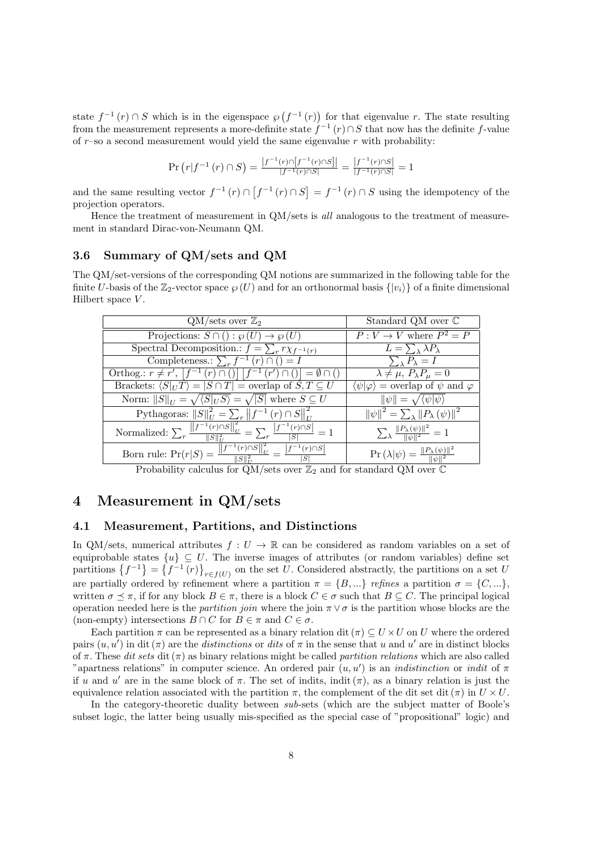state  $f^{-1}(r) \cap S$  which is in the eigenspace  $\wp(f^{-1}(r))$  for that eigenvalue *r*. The state resulting from the measurement represents a more-definite state  $f^{-1}(r) \cap S$  that now has the definite  $f$ -value of *r*–so a second measurement would yield the same eigenvalue *r* with probability:

$$
\Pr\left(r|f^{-1}\left(r\right)\cap S\right) = \frac{|f^{-1}(r)\cap [f^{-1}(r)\cap S]|}{|f^{-1}(r)\cap S|} = \frac{|f^{-1}(r)\cap S|}{|f^{-1}(r)\cap S|} = 1
$$

and the same resulting vector  $f^{-1}(r) \cap [f^{-1}(r) \cap S] = f^{-1}(r) \cap S$  using the idempotency of the projection operators.

Hence the treatment of measurement in QM/sets is *all* analogous to the treatment of measurement in standard Dirac-von-Neumann QM.

#### **3.6 Summary of QM/sets and QM**

The QM/set-versions of the corresponding QM notions are summarized in the following table for the finite *U*-basis of the  $\mathbb{Z}_2$ -vector space  $\wp(U)$  and for an orthonormal basis  $\{ |v_i \rangle \}$  of a finite dimensional Hilbert space *V* .

| $QM/\text{sets over }\mathbb{Z}_2$                                                                                                               | Standard QM over $\mathbb C$                                                                            |
|--------------------------------------------------------------------------------------------------------------------------------------------------|---------------------------------------------------------------------------------------------------------|
|                                                                                                                                                  |                                                                                                         |
| Projections: $S \cap ( ) : \wp(U) \rightarrow \wp(U)$                                                                                            | $P: V \to V$ where $P^2 = P$                                                                            |
| Spectral Decomposition.: $f = \sum_r r \chi_{f^{-1}(r)}$                                                                                         | $L=\sum_{\lambda} \lambda P_{\lambda}$                                                                  |
| Completeness.: $\sum_{r} f^{-1}(r) \cap ( ) = I$                                                                                                 | $\sum_{\lambda} P_{\lambda} = I$                                                                        |
| Orthog.: $r \neq r'$ , $[f^{-1}(r) \cap ()] [f^{-1}(r') \cap ()] = \emptyset \cap ()$                                                            | $\lambda \neq \mu$ , $P_{\lambda}P_{\mu} = 0$                                                           |
| Brackets: $\langle S _U T \rangle =  S \cap T $ = overlap of $S, T \subseteq U$                                                                  | $\langle \psi   \varphi \rangle$ = overlap of $\psi$ and $\varphi$                                      |
| Norm: $  S  _U = \sqrt{\langle S _U S \rangle} = \sqrt{ S }$ where $S \subseteq U$                                                               | $\ \psi\  = \sqrt{\langle \psi   \psi \rangle}$                                                         |
| Pythagoras: $  S  _U^2 = \sum_r   f^{-1}(r) \cap S  _U^2$                                                                                        | $\left\Vert \psi\right\Vert ^{2}=\sum_{\lambda}\left\Vert P_{\lambda}\left(\psi\right)\right\Vert ^{2}$ |
| Normalized: $\sum_{r}\frac{\left\ f^{-\overline{1}(r)\cap S}\right\ ^{2}_{U}}{\ S\ ^{2}_{U}}=\sum_{r}\frac{\left f^{-1}(r)\cap S\right }{ S }=1$ | $\frac{\sum_{\lambda} \ P_{\lambda}(\psi)\ ^2}{\ \psi\ ^2} = 1$                                         |
| Born rule: $Pr(r S) = \frac{  f^{-1}(r) \cap S  _U^2}{  S  _H^2} = \frac{ f^{-1}(r) \cap S }{ S }$                                               | $\Pr\left(\lambda \psi\right) = \frac{\ P_{\lambda}(\psi)\ ^2}{\ \psi\ ^2}$                             |

Probability calculus for  $\frac{U}{V}$  and for standard QM over C

# **4 Measurement in QM/sets**

#### **4.1 Measurement, Partitions, and Distinctions**

In QM/sets, numerical attributes  $f: U \to \mathbb{R}$  can be considered as random variables on a set of equiprobable states  $\{u\} \subseteq U$ . The inverse images of attributes (or random variables) define set partitions  $\{f^{-1}\} = \{f^{-1}(r)\}_{r \in f(U)}$  on the set *U*. Considered abstractly, the partitions on a set *U* are partially ordered by refinement where a partition  $\pi = \{B, ...\}$  *refines* a partition  $\sigma = \{C, ...\}$ , written  $\sigma \preceq \pi$ , if for any block  $B \in \pi$ , there is a block  $C \in \sigma$  such that  $B \subseteq C$ . The principal logical operation needed here is the *partition join* where the join  $\pi \vee \sigma$  is the partition whose blocks are the (non-empty) intersections  $B \cap C$  for  $B \in \pi$  and  $C \in \sigma$ .

Each partition  $\pi$  can be represented as a binary relation dit ( $\pi$ )  $\subseteq U \times U$  on *U* where the ordered pairs  $(u, u')$  in dit  $(\pi)$  are the *distinctions* or *dits* of  $\pi$  in the sense that *u* and *u'* are in distinct blocks of *π*. These *dit sets* dit (*π*) as binary relations might be called *partition relations* which are also called "apartness relations" in computer science. An ordered pair  $(u, u')$  is an *indistinction* or *indit* of  $\pi$ if *u* and *u'* are in the same block of  $\pi$ . The set of indits, indit  $(\pi)$ , as a binary relation is just the equivalence relation associated with the partition  $\pi$ , the complement of the dit set dit ( $\pi$ ) in  $U \times U$ .

In the category-theoretic duality between *sub*-sets (which are the subject matter of Boole's subset logic, the latter being usually mis-specified as the special case of "propositional" logic) and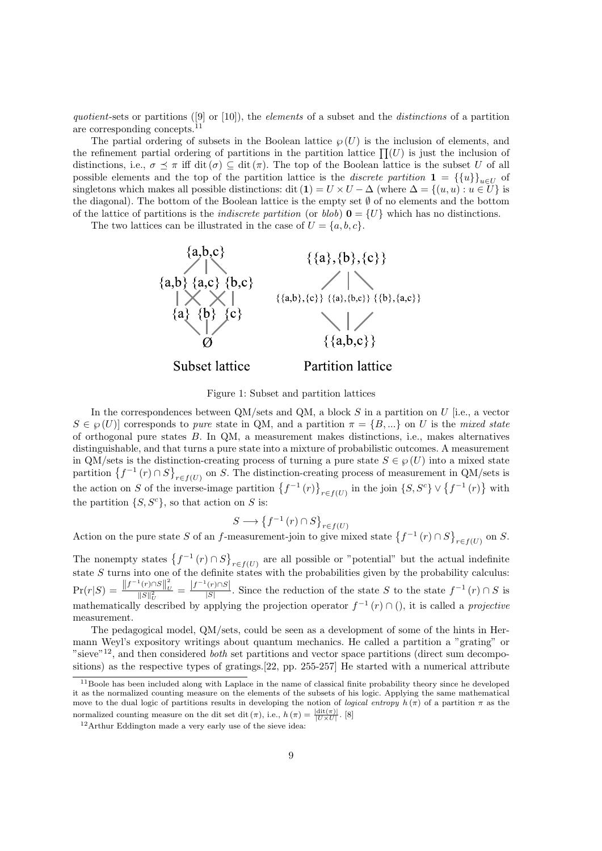*quotient*-sets or partitions ([9] or [10]), the *elements* of a subset and the *distinctions* of a partition are corresponding concepts.<sup>11</sup>

The partial ordering of subsets in the Boolean lattice  $\wp(U)$  is the inclusion of elements, and the refinement partial ordering of partitions in the partition lattice  $\prod(U)$  is just the inclusion of distinctions, i.e.,  $\sigma \preceq \pi$  iff dit ( $\sigma$ )  $\subseteq$  dit ( $\pi$ ). The top of the Boolean lattice is the subset *U* of all possible elements and the top of the partition lattice is the *discrete partition*  $\mathbf{1} = {\{u\}}_{u \in U}$  of singletons which makes all possible distinctions: dit  $(1) = U \times U - \Delta$  (where  $\Delta = \{(u, u) : u \in U\}$  is the diagonal). The bottom of the Boolean lattice is the empty set *∅* of no elements and the bottom of the lattice of partitions is the *indiscrete partition* (or *blob*)  $\mathbf{0} = \{U\}$  which has no distinctions.

The two lattices can be illustrated in the case of  $U = \{a, b, c\}$ .



Figure 1: Subset and partition lattices

In the correspondences between QM/sets and QM, a block *S* in a partition on *U* [i.e., a vector  $S \in \mathcal{P}(U)$  corresponds to *pure* state in QM, and a partition  $\pi = \{B, ...\}$  on *U* is the *mixed state* of orthogonal pure states *B*. In QM, a measurement makes distinctions, i.e., makes alternatives distinguishable, and that turns a pure state into a mixture of probabilistic outcomes. A measurement in QM/sets is the distinction-creating process of turning a pure state  $S \in \mathcal{G}(U)$  into a mixed state partition  $\{f^{-1}(r) \cap S\}_{r \in f(U)}$  on *S*. The distinction-creating process of measurement in QM/sets is the action on *S* of the inverse-image partition  $\{f^{-1}(r)\}_{r \in f(U)}$  in the join  $\{S, S^c\} \vee \{f^{-1}(r)\}$  with the partition  $\{S, S^c\}$ , so that action on *S* is:

$$
S \longrightarrow \left\{ f^{-1}\left(r\right) \cap S \right\}_{r \in f(U)}
$$

 $S \longrightarrow \{f^{-1}(r) \cap S\}_{r \in f(U)}$ <br>Action on the pure state S of an f-measurement-join to give mixed state  $\{f^{-1}(r) \cap S\}_{r \in f(U)}$  on S.

The nonempty states  $\{f^{-1}(r) \cap S\}_{r \in f(U)}$  are all possible or "potential" but the actual indefinite state *S* turns into one of the definite states with the probabilities given by the probability calculus:  $\Pr(r|S) = \frac{\left||f^{-1}(r) \cap S\right||_L^2}{\|S\|^2}$  $\frac{1}{\|S\|_U^2} = \frac{|f^{-1}(r) \cap S|}{|S|}$  $\frac{|F|^{1/3}}{|S|}$ . Since the reduction of the state *S* to the state  $f^{-1}(r) \cap S$  is mathematically described by applying the projection operator  $f^{-1}(r) \cap ($ , it is called a *projective* measurement.

The pedagogical model, QM/sets, could be seen as a development of some of the hints in Hermann Weyl's expository writings about quantum mechanics. He called a partition a "grating" or "sieve"<sup>12</sup>, and then considered *both* set partitions and vector space partitions (direct sum decompositions) as the respective types of gratings.[22, pp. 255-257] He started with a numerical attribute

<sup>&</sup>lt;sup>11</sup>Boole has been included along with Laplace in the name of classical finite probability theory since he developed it as the normalized counting measure on the elements of the subsets of his logic. Applying the same mathematical move to the dual logic of partitions results in developing the notion of *logical entropy*  $h(\pi)$  of a partition  $\pi$  as the normalized counting measure on the dit set dit  $(\pi)$ , i.e.,  $h(\pi) = \frac{|\text{dit}(\pi)|}{|U \times U|}$ . [8]

<sup>12</sup>Arthur Eddington made a very early use of the sieve idea: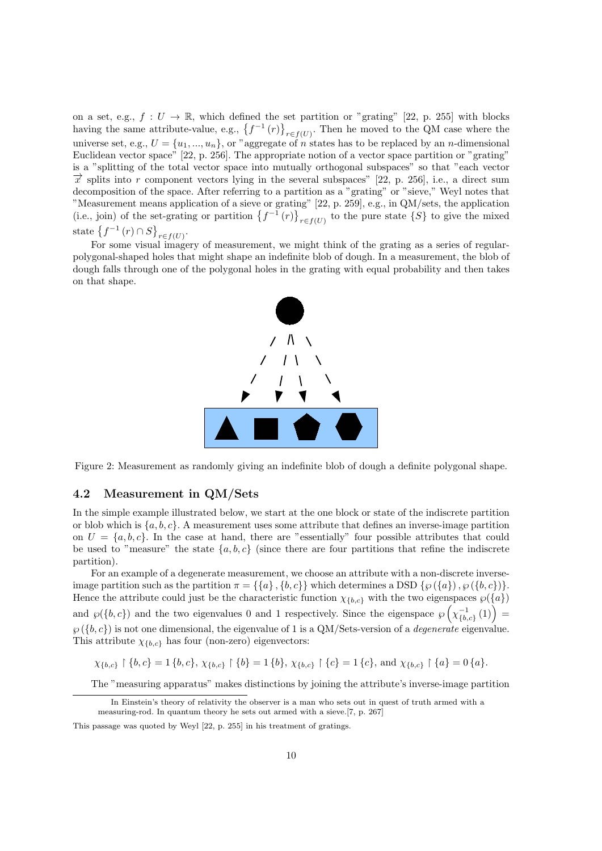on a set, e.g.,  $f: U \to \mathbb{R}$ , which defined the set partition or "grating" [22, p. 255] with blocks having the same attribute-value, e.g.,  $\{f^{-1}(r)\}_{r \in f(U)}$ . Then he moved to the QM case where the universe set, e.g.,  $U = \{u_1, ..., u_n\}$ , or "aggregate of *n* states has to be replaced by an *n*-dimensional Euclidean vector space" [22, p. 256]. The appropriate notion of a vector space partition or "grating" is a "splitting of the total vector space into mutually orthogonal subspaces" so that "each vector  $\vec{x}$  splits into *r* component vectors lying in the several subspaces" [22, p. 256], i.e., a direct sum decomposition of the space. After referring to a partition as a "grating" or "sieve," Weyl notes that "Measurement means application of a sieve or grating" [22, p. 259], e.g., in QM/sets, the application (i.e., join) of the set-grating or partition  $\{f^{-1}(r)\}_{r \in f(U)}$  to the pure state  $\{S\}$  to give the mixed state  $\{f^{-1}(r) \cap S\}_{r \in f(U)}$ .

For some visual imagery of measurement, we might think of the grating as a series of regularpolygonal-shaped holes that might shape an indefinite blob of dough. In a measurement, the blob of dough falls through one of the polygonal holes in the grating with equal probability and then takes on that shape.



Figure 2: Measurement as randomly giving an indefinite blob of dough a definite polygonal shape.

#### **4.2 Measurement in QM/Sets**

In the simple example illustrated below, we start at the one block or state of the indiscrete partition or blob which is  $\{a, b, c\}$ . A measurement uses some attribute that defines an inverse-image partition on  $U = \{a, b, c\}$ . In the case at hand, there are "essentially" four possible attributes that could be used to "measure" the state  $\{a, b, c\}$  (since there are four partitions that refine the indiscrete partition).

For an example of a degenerate measurement, we choose an attribute with a non-discrete inverseimage partition such as the partition  $\pi = \{\{a\}, \{b, c\}\}\$  which determines a DSD  $\{\wp(\{a\}), \wp(\{b, c\})\}.$ Hence the attribute could just be the characteristic function  $\chi_{\{b,c\}}$  with the two eigenspaces  $\wp(\{a\})$ and  $\wp(\lbrace b, c \rbrace)$  and the two eigenvalues 0 and 1 respectively. Since the eigenspace  $\wp\left(\chi_{\lbrace b, c \rbrace}^{-1}(1)\right)$  $\wp(\lbrace b, c \rbrace)$  is not one dimensional, the eigenvalue of 1 is a QM/Sets-version of a *degenerate* eigenvalue. This attribute  $\chi_{\{b,c\}}$  has four (non-zero) eigenvectors:

 $\chi_{\{b,c\}} \upharpoonright \{b,c\} = 1 \{b,c\}, \chi_{\{b,c\}} \upharpoonright \{b\} = 1 \{b\}, \chi_{\{b,c\}} \upharpoonright \{c\} = 1 \{c\}, \text{ and } \chi_{\{b,c\}} \upharpoonright \{a\} = 0 \{a\}.$ 

The "measuring apparatus" makes distinctions by joining the attribute's inverse-image partition

In Einstein's theory of relativity the observer is a man who sets out in quest of truth armed with a measuring-rod. In quantum theory he sets out armed with a sieve.[7, p. 267]

This passage was quoted by Weyl [22, p. 255] in his treatment of gratings.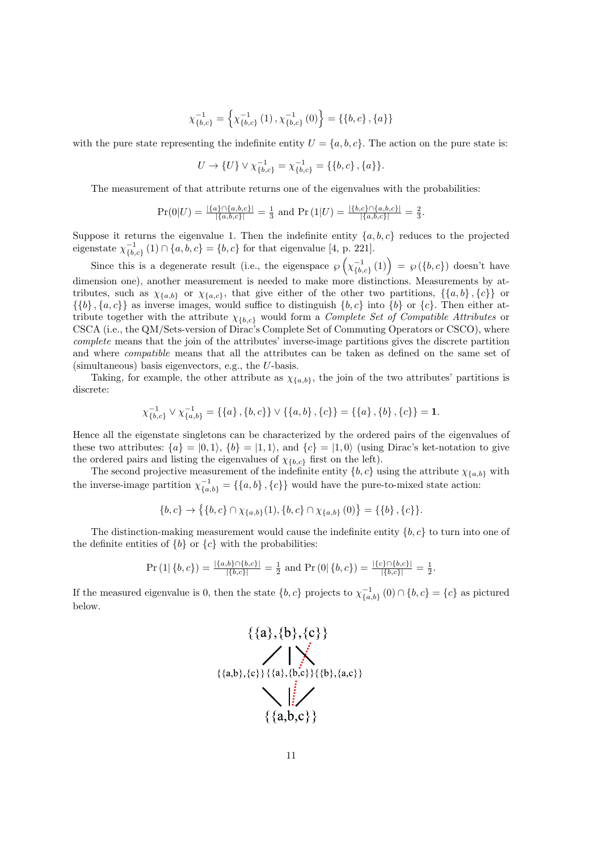$$
\chi_{\{b,c\}}^{-1} = \left\{ \chi_{\{b,c\}}^{-1}(1), \chi_{\{b,c\}}^{-1}(0) \right\} = \left\{ \{b,c\}, \{a\} \right\}
$$

with the pure state representing the indefinite entity  $U = \{a, b, c\}$ . The action on the pure state is:

$$
U \to \{U\} \vee \chi_{\{b,c\}}^{-1} = \chi_{\{b,c\}}^{-1} = \{\{b,c\},\{a\}\}.
$$

The measurement of that attribute returns one of the eigenvalues with the probabilities:

$$
\Pr(0|U) = \frac{|\{a\} \cap \{a,b,c\}|}{|\{a,b,c\}|} = \frac{1}{3} \text{ and } \Pr(1|U) = \frac{|\{b,c\} \cap \{a,b,c\}|}{|\{a,b,c\}|} = \frac{2}{3}.
$$

Suppose it returns the eigenvalue 1. Then the indefinite entity  ${a, b, c}$  reduces to the projected eigenstate  $\chi_{\{b,c\}}^{-1}(1) \cap \{a,b,c\} = \{b,c\}$  for that eigenvalue [4, p. 221].

Since this is a degenerate result (i.e., the eigenspace  $\wp\left(\chi_{\{b,c\}}^{-1}(1)\right) = \wp(\{b,c\})$  doesn't have dimension one), another measurement is needed to make more distinctions. Measurements by attributes, such as  $\chi_{\{a,b\}}$  or  $\chi_{\{a,c\}}$ , that give either of the other two partitions,  $\{\{a,b\},\{c\}\}\$ or  $\{\{b\}, \{a, c\}\}\$ as inverse images, would suffice to distinguish  $\{b, c\}$  into  $\{b\}$  or  $\{c\}$ . Then either attribute together with the attribute *χ{b,c}* would form a *Complete Set of Compatible Attributes* or CSCA (i.e., the QM/Sets-version of Dirac's Complete Set of Commuting Operators or CSCO), where *complete* means that the join of the attributes' inverse-image partitions gives the discrete partition and where *compatible* means that all the attributes can be taken as defined on the same set of (simultaneous) basis eigenvectors, e.g., the *U*-basis.

Taking, for example, the other attribute as  $\chi_{\{a,b\}}$ , the join of the two attributes' partitions is discrete:

$$
\chi_{\{b,c\}}^{-1} \vee \chi_{\{a,b\}}^{-1} = \{\{a\},\{b,c\}\} \vee \{\{a,b\},\{c\}\} = \{\{a\},\{b\},\{c\}\} = \mathbf{1}.
$$

Hence all the eigenstate singletons can be characterized by the ordered pairs of the eigenvalues of these two attributes:  $\{a\} = (0,1), \{b\} = (1,1),$  and  $\{c\} = (1,0)$  (using Dirac's ket-notation to give the ordered pairs and listing the eigenvalues of  $\chi_{\{b,c\}}$  first on the left).

The second projective measurement of the indefinite entity  ${b, c}$  using the attribute  $\chi_{\{a, b\}}$  with the inverse-image partition  $\chi_{\{a,b\}}^{-1} = \{\{a,b\},\{c\}\}\$  would have the pure-to-mixed state action:

$$
\{b,c\} \to \{\{b,c\} \cap \chi_{\{a,b\}}(1), \{b,c\} \cap \chi_{\{a,b\}}(0)\} = \{\{b\},\{c\}\}.
$$

The distinction-making measurement would cause the indefinite entity *{b, c}* to turn into one of the definite entities of  ${b}$  or  ${c}$  with the probabilities:

$$
Pr (1 | \{b, c\}) = \frac{|\{a, b\} \cap \{b, c\}|}{|\{b, c\}|} = \frac{1}{2} \text{ and } Pr (0 | \{b, c\}) = \frac{|\{c\} \cap \{b, c\}|}{|\{b, c\}|} = \frac{1}{2}.
$$

If the measured eigenvalue is 0, then the state  $\{b, c\}$  projects to  $\chi_{\{a, b\}}^{-1}(0) \cap \{b, c\} = \{c\}$  as pictured below.

$$
\{\{a\},\{b\},\{c\}\}\
$$
  
\n
$$
\{\{a,b\},\{c\}\}\{\{a\},\{b,c\}\}\{\{b\},\{a,c\}\}\}
$$
  
\n
$$
\{\{a,b,c\}\}\
$$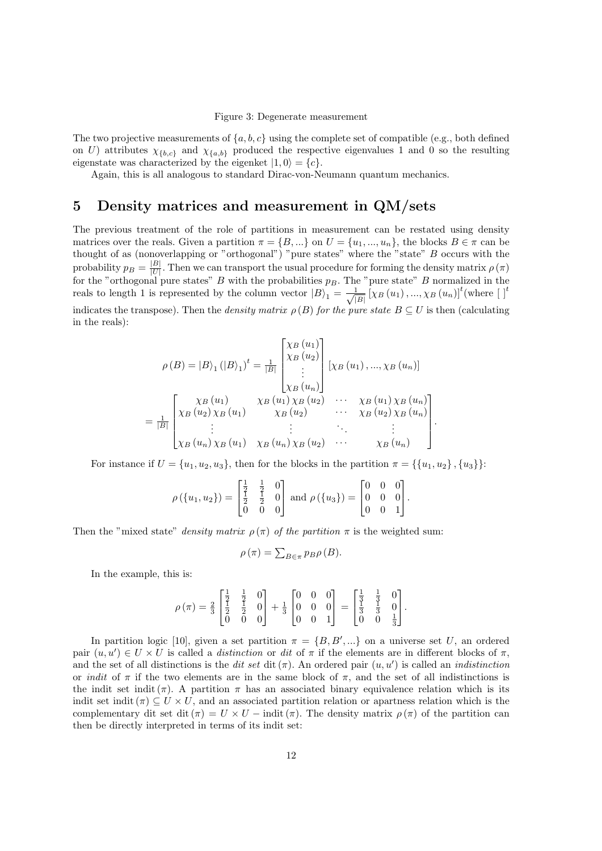#### Figure 3: Degenerate measurement

The two projective measurements of  $\{a, b, c\}$  using the complete set of compatible (e.g., both defined on *U*) attributes  $\chi_{\{b,c\}}$  and  $\chi_{\{a,b\}}$  produced the respective eigenvalues 1 and 0 so the resulting eigenstate was characterized by the eigenket  $|1,0\rangle = \{c\}$ .

Again, this is all analogous to standard Dirac-von-Neumann quantum mechanics.

### **5 Density matrices and measurement in QM/sets**

The previous treatment of the role of partitions in measurement can be restated using density matrices over the reals. Given a partition  $\pi = \{B, ...\}$  on  $U = \{u_1, ..., u_n\}$ , the blocks  $B \in \pi$  can be thought of as (nonoverlapping or "orthogonal") "pure states" where the "state" *B* occurs with the probability  $p_B = \frac{|B|}{|U|}$ . Then we can transport the usual procedure for forming the density matrix  $\rho(\pi)$ for the "orthogonal pure states" *B* with the probabilities  $p_B$ . The "pure state" *B* normalized in the reals to length 1 is represented by the column vector  $|B\rangle_1 = \frac{1}{\sqrt{2}}$  $\frac{1}{|B|}$   $\left[\chi_B\left(u_1\right),...,\chi_B\left(u_n\right)\right]^t$  (where  $\left[\ \right]^t$ 

indicates the transpose). Then the *density matrix*  $\rho(B)$  *for the pure state*  $B \subseteq U$  is then (calculating in the reals):

$$
\rho(B) = |B\rangle_1 (|B\rangle_1)^t = \frac{1}{|B|} \begin{bmatrix} \chi_B(u_1) \\ \chi_B(u_2) \\ \vdots \\ \chi_B(u_n) \end{bmatrix} [\chi_B(u_1), ..., \chi_B(u_n)]
$$

$$
= \frac{1}{|B|} \begin{bmatrix} \chi_B(u_1) & \chi_B(u_1) \chi_B(u_2) & \cdots & \chi_B(u_1) \chi_B(u_n) \\ \chi_B(u_2) \chi_B(u_1) & \chi_B(u_2) & \cdots & \chi_B(u_2) \chi_B(u_n) \\ \vdots & \vdots & \ddots & \vdots \\ \chi_B(u_n) \chi_B(u_1) & \chi_B(u_n) \chi_B(u_2) & \cdots & \chi_B(u_n) \end{bmatrix}
$$

.

For instance if  $U = \{u_1, u_2, u_3\}$ , then for the blocks in the partition  $\pi = \{\{u_1, u_2\}, \{u_3\}\}\$ :

$$
\rho(\lbrace u_1, u_2 \rbrace) = \begin{bmatrix} \frac{1}{2} & \frac{1}{2} & 0 \\ \frac{1}{2} & \frac{1}{2} & 0 \\ 0 & 0 & 0 \end{bmatrix} \text{ and } \rho(\lbrace u_3 \rbrace) = \begin{bmatrix} 0 & 0 & 0 \\ 0 & 0 & 0 \\ 0 & 0 & 1 \end{bmatrix}.
$$

Then the "mixed state" *density matrix*  $\rho(\pi)$  *of the partition*  $\pi$  is the weighted sum:

$$
\rho(\pi) = \sum_{B \in \pi} p_B \rho(B).
$$

In the example, this is:

$$
\rho(\pi) = \frac{2}{3} \begin{bmatrix} \frac{1}{2} & \frac{1}{2} & 0 \\ \frac{1}{2} & \frac{1}{2} & 0 \\ 0 & 0 & 0 \end{bmatrix} + \frac{1}{3} \begin{bmatrix} 0 & 0 & 0 \\ 0 & 0 & 0 \\ 0 & 0 & 1 \end{bmatrix} = \begin{bmatrix} \frac{1}{3} & \frac{1}{3} & 0 \\ \frac{1}{3} & \frac{1}{3} & 0 \\ 0 & 0 & \frac{1}{3} \end{bmatrix}.
$$

In partition logic [10], given a set partition  $\pi = \{B, B', \dots\}$  on a universe set *U*, an ordered pair  $(u, u') \in U \times U$  is called a *distinction* or *dit* of  $\pi$  if the elements are in different blocks of  $\pi$ , and the set of all distinctions is the *dit set* dit( $\pi$ ). An ordered pair  $(u, u')$  is called an *indistinction* or *indit* of  $\pi$  if the two elements are in the same block of  $\pi$ , and the set of all indistinctions is the indit set indit ( $\pi$ ). A partition  $\pi$  has an associated binary equivalence relation which is its indit set indit  $(\pi) \subseteq U \times U$ , and an associated partition relation or apartness relation which is the complementary dit set dit  $(\pi) = U \times U - \text{indit}(\pi)$ . The density matrix  $\rho(\pi)$  of the partition can then be directly interpreted in terms of its indit set: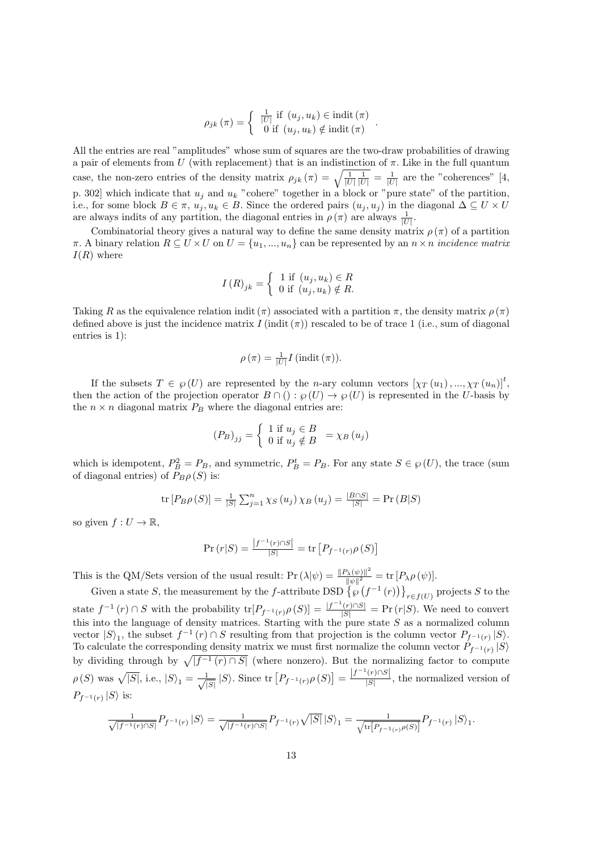$$
\rho_{jk}(\pi) = \begin{cases} \frac{1}{|U|} \text{ if } (u_j, u_k) \in \text{indit}(\pi) \\ 0 \text{ if } (u_j, u_k) \notin \text{indit}(\pi) \end{cases}.
$$

All the entries are real "amplitudes" whose sum of squares are the two-draw probabilities of drawing a pair of elements from *U* (with replacement) that is an indistinction of *π*. Like in the full quantum case, the non-zero entries of the density matrix  $\rho_{jk}(\pi) = \sqrt{\frac{1}{|U|} \frac{1}{|U|}} = \frac{1}{|U|}$  are the "coherences" [4, p. 302] which indicate that  $u_j$  and  $u_k$  "cohere" together in a block or "pure state" of the partition, i.e., for some block  $B \in \pi$ ,  $u_j, u_k \in B$ . Since the ordered pairs  $(u_j, u_j)$  in the diagonal  $\Delta \subseteq U \times U$ are always indits of any partition, the diagonal entries in  $\rho(\pi)$  are always  $\frac{1}{|U|}$ .

Combinatorial theory gives a natural way to define the same density matrix  $\rho(\pi)$  of a partition *π*. A binary relation *R* ⊆ *U ×U* on *U* = {*u*<sub>1</sub>*, ..., u<sub>n</sub></sub>}* can be represented by an *n × n incidence matrix I*(*R*) where

$$
I(R)_{jk} = \begin{cases} 1 \text{ if } (u_j, u_k) \in R \\ 0 \text{ if } (u_j, u_k) \notin R. \end{cases}
$$

Taking *R* as the equivalence relation indit ( $\pi$ ) associated with a partition  $\pi$ , the density matrix  $\rho(\pi)$ defined above is just the incidence matrix  $I(\text{indit}(\pi))$  rescaled to be of trace 1 (i.e., sum of diagonal entries is 1):

$$
\rho(\pi) = \frac{1}{|U|} I(\text{indit}(\pi)).
$$

If the subsets  $T \in \mathcal{G}(U)$  are represented by the *n*-ary column vectors  $[\chi_T(u_1), ..., \chi_T(u_n)]^t$ , then the action of the projection operator  $B \cap (): \wp(U) \to \wp(U)$  is represented in the *U*-basis by the  $n \times n$  diagonal matrix  $P_B$  where the diagonal entries are:

$$
(P_B)_{jj} = \begin{cases} 1 \text{ if } u_j \in B \\ 0 \text{ if } u_j \notin B \end{cases} = \chi_B(u_j)
$$

which is idempotent,  $P_B^2 = P_B$ , and symmetric,  $P_B^t = P_B$ . For any state  $S \in \mathcal{P}(U)$ , the trace (sum of diagonal entries) of  $P_B \rho(S)$  is:

tr 
$$
[P_B \rho(S)] = \frac{1}{|S|} \sum_{j=1}^n \chi_S(u_j) \chi_B(u_j) = \frac{|B \cap S|}{|S|} = \Pr(B|S)
$$

so given  $f: U \to \mathbb{R}$ ,

$$
\Pr(r|S) = \frac{|f^{-1}(r) \cap S|}{|S|} = \text{tr}\left[P_{f^{-1}(r)} \rho(S)\right]
$$

This is the QM/Sets version of the usual result:  $Pr(\lambda|\psi) = \frac{\|P_{\lambda}(\psi)\|^2}{\|\psi\|^2}$  $\frac{\partial \lambda(\psi) \|\Gamma}{\|\psi\|^2} = \text{tr} \left[ P_{\lambda} \rho \left( \psi \right) \right].$ 

Given a state *S*, the measurement by the *f*-attribute DSD  $\left\{\wp\left(f^{-1}(r)\right)\right\}_{r\in f(U)}$  projects *S* to the state  $f^{-1}(r) \cap S$  with the probability  $\text{tr}[P_{f^{-1}(r)} \rho(S)] = \frac{|f^{-1}(r) \cap S|}{|S|} = \Pr(r|S)$ . We need to convert this into the language of density matrices. Starting with the pure state *S* as a normalized column vector  $|S\rangle_1$ , the subset  $f^{-1}(r) \cap S$  resulting from that projection is the column vector  $P_{f^{-1}(r)} |S\rangle$ . To calculate the corresponding density matrix we must first normalize the column vector  $P_{f^{-1}(r)} | S \rangle$ by dividing through by  $\sqrt{|f^{-1}(r) \cap S|}$  (where nonzero). But the normalizing factor to compute  $\rho(S)$  was  $\sqrt{|S|}$ , i.e.,  $|S\rangle_1 = \frac{1}{\sqrt{2}}$  $\frac{1}{|S|} |S\rangle$ . Since tr  $[P_{f^{-1}(r)} \rho(S)] = \frac{|f^{-1}(r) \cap S|}{|S|}$  $\frac{(1+iS)}{|S|}$ , the normalized version of  $P_{f^{-1}(r)} |S\rangle$  is:

$$
\frac{1}{\sqrt{|f^{-1}(r) \cap S|}} P_{f^{-1}(r)} \left| S \right> = \frac{1}{\sqrt{|f^{-1}(r) \cap S|}} P_{f^{-1}(r)} \sqrt{|S|} \left| S \right>_{1} = \frac{1}{\sqrt{\text{tr}[P_{f^{-1}(r)} \rho(S)]}} P_{f^{-1}(r)} \left| S \right>_{1}.
$$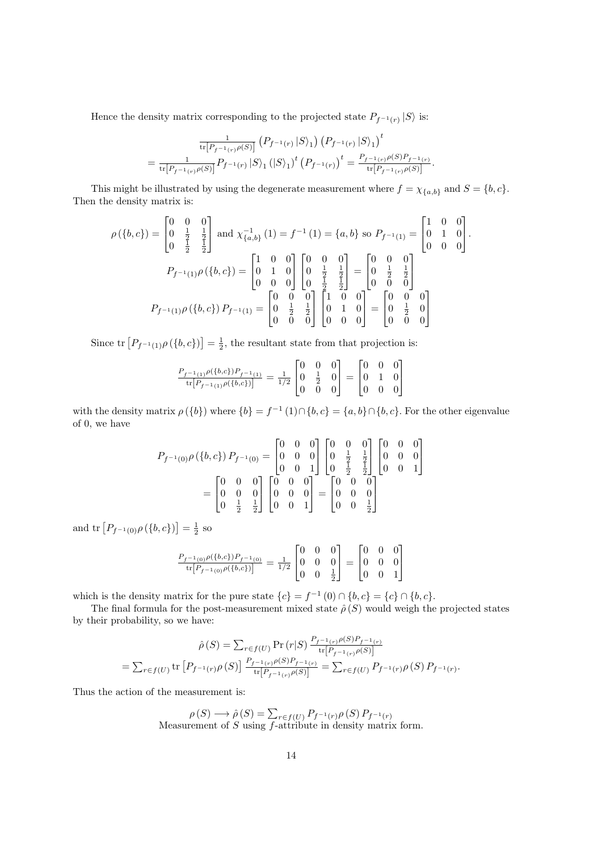Hence the density matrix corresponding to the projected state  $P_{f^{-1}(r)} |S\rangle$  is:

$$
\frac{1}{\text{tr}[P_{f^{-1}(r)}\rho(S)]}\left(P_{f^{-1}(r)}\left|S\right\rangle_{1}\right)\left(P_{f^{-1}(r)}\left|S\right\rangle_{1}\right)^{t}
$$
\n
$$
=\frac{1}{\text{tr}[P_{f^{-1}(r)}\rho(S)]}P_{f^{-1}(r)}\left|S\right\rangle_{1}\left(\left|S\right\rangle_{1}\right)^{t}\left(P_{f^{-1}(r)}\right)^{t}=\frac{P_{f^{-1}(r)}\rho(S)P_{f^{-1}(r)}}{\text{tr}[P_{f^{-1}(r)}\rho(S)]}.
$$

This might be illustrated by using the degenerate measurement where  $f = \chi_{\{a,b\}}$  and  $S = \{b, c\}$ . Then the density matrix is:

$$
\rho(\lbrace b, c \rbrace) = \begin{bmatrix} 0 & 0 & 0 \\ 0 & \frac{1}{2} & \frac{1}{2} \\ 0 & \frac{1}{2} & \frac{1}{2} \end{bmatrix} \text{ and } \chi_{\lbrace a,b\rbrace}^{-1}(1) = f^{-1}(1) = \lbrace a,b\rbrace \text{ so } P_{f^{-1}(1)} = \begin{bmatrix} 1 & 0 & 0 \\ 0 & 1 & 0 \\ 0 & 0 & 0 \end{bmatrix}.
$$

$$
P_{f^{-1}(1)}\rho(\lbrace b,c\rbrace) = \begin{bmatrix} 1 & 0 & 0 \\ 0 & 1 & 0 \\ 0 & 0 & 0 \end{bmatrix} \begin{bmatrix} 0 & 0 & 0 \\ 0 & \frac{1}{2} & \frac{1}{2} \\ 0 & \frac{1}{2} & \frac{1}{2} \end{bmatrix} = \begin{bmatrix} 0 & 0 & 0 \\ 0 & \frac{1}{2} & \frac{1}{2} \\ 0 & 0 & 0 \end{bmatrix}
$$

$$
P_{f^{-1}(1)}\rho(\lbrace b,c\rbrace) P_{f^{-1}(1)} = \begin{bmatrix} 0 & 0 & 0 \\ 0 & \frac{1}{2} & \frac{1}{2} \\ 0 & 0 & 0 \end{bmatrix} \begin{bmatrix} 1 & 0 & 0 \\ 0 & 1 & 0 \\ 0 & 0 & 0 \end{bmatrix} = \begin{bmatrix} 0 & 0 & 0 \\ 0 & \frac{1}{2} & 0 \\ 0 & 0 & 0 \end{bmatrix}
$$

Since  $\text{tr}\left[P_{f^{-1}(1)}\rho\left(\{b,c\}\right)\right]=\frac{1}{2}$ , the resultant state from that projection is:

$$
\frac{P_{f^{-1}(1)}\rho(\{b,c\})P_{f^{-1}(1)}}{\text{tr}[P_{f^{-1}(1)}\rho(\{b,c\})]} = \frac{1}{1/2} \begin{bmatrix} 0 & 0 & 0 \ 0 & \frac{1}{2} & 0 \ 0 & 0 & 0 \end{bmatrix} = \begin{bmatrix} 0 & 0 & 0 \ 0 & 1 & 0 \ 0 & 0 & 0 \end{bmatrix}
$$

with the density matrix  $\rho({b})$  where  ${b} = f^{-1}(1) \cap {b, c} = {a, b} \cap {b, c}$ . For the other eigenvalue of 0, we have

$$
P_{f^{-1}(0)}\rho(\lbrace b,c\rbrace) P_{f^{-1}(0)} = \begin{bmatrix} 0 & 0 & 0 \\ 0 & 0 & 0 \\ 0 & 0 & 1 \end{bmatrix} \begin{bmatrix} 0 & 0 & 0 \\ 0 & \frac{1}{2} & \frac{1}{2} \\ 0 & \frac{1}{2} & \frac{1}{2} \end{bmatrix} \begin{bmatrix} 0 & 0 & 0 \\ 0 & 0 & 0 \\ 0 & 0 & 1 \end{bmatrix}
$$

$$
= \begin{bmatrix} 0 & 0 & 0 \\ 0 & 0 & 0 \\ 0 & \frac{1}{2} & \frac{1}{2} \end{bmatrix} \begin{bmatrix} 0 & 0 & 0 \\ 0 & 0 & 0 \\ 0 & 0 & 1 \end{bmatrix} = \begin{bmatrix} 0 & 0 & 0 \\ 0 & 0 & 0 \\ 0 & 0 & \frac{1}{2} \end{bmatrix}
$$

and  $\text{tr}\left[P_{f^{-1}(0)}\rho(\{b,c\})\right] = \frac{1}{2}$  so

$$
\frac{P_{f^{-1}(0)}\rho(\{b,c\})P_{f^{-1}(0)}}{\mathrm{tr}\big[P_{f^{-1}(0)}\rho(\{b,c\})\big]}=\frac{1}{1/2}\begin{bmatrix}0 & 0 & 0 \\ 0 & 0 & 0 \\ 0 & 0 & \frac{1}{2}\end{bmatrix}=\begin{bmatrix}0 & 0 & 0 \\ 0 & 0 & 0 \\ 0 & 0 & 1\end{bmatrix}
$$

which is the density matrix for the pure state  ${c}$  =  $f^{-1}(0) \cap {b, c} = {c} \cap {b, c}$ .

The final formula for the post-measurement mixed state  $\hat{\rho}(S)$  would weigh the projected states by their probability, so we have:

$$
\hat{\rho}(S) = \sum_{r \in f(U)} \Pr(r|S) \frac{P_{f^{-1}(r)} \rho(S) P_{f^{-1}(r)}}{\text{tr}[P_{f^{-1}(r)} \rho(S)]} \n= \sum_{r \in f(U)} \text{tr}[P_{f^{-1}(r)} \rho(S)] \frac{P_{f^{-1}(r)} \rho(S) P_{f^{-1}(r)}}{\text{tr}[P_{f^{-1}(r)} \rho(S)]} = \sum_{r \in f(U)} P_{f^{-1}(r)} \rho(S) P_{f^{-1}(r)}.
$$

Thus the action of the measurement is:

$$
\rho(S) \longrightarrow \hat{\rho}(S) = \sum_{r \in f(U)} P_{f^{-1}(r)} \rho(S) P_{f^{-1}(r)}
$$
  
Measurement of *S* using *f*-attribute in density matrix form.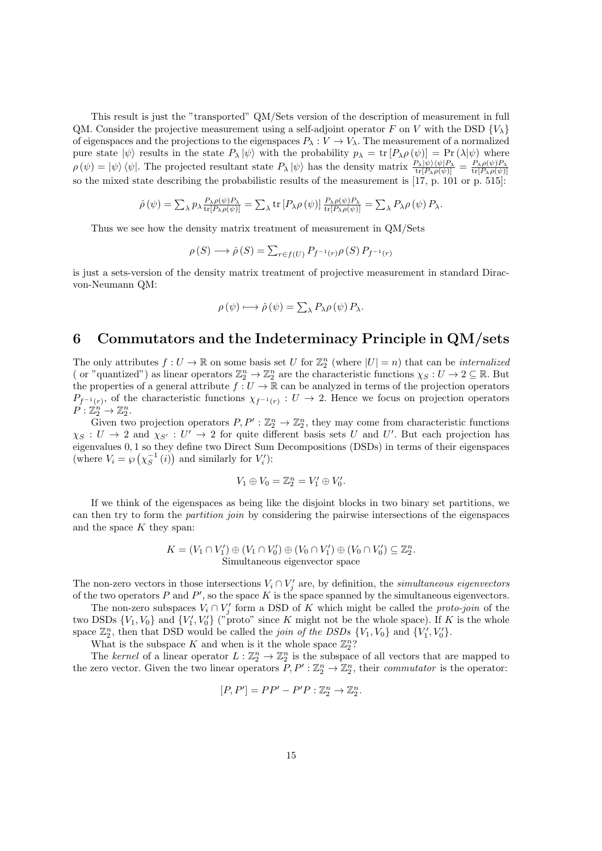This result is just the "transported" QM/Sets version of the description of measurement in full QM. Consider the projective measurement using a self-adjoint operator *F* on *V* with the DSD  $\{V_\lambda\}$ of eigenspaces and the projections to the eigenspaces  $P_{\lambda}: V \to V_{\lambda}$ . The measurement of a normalized pure state  $|\psi\rangle$  results in the state  $P_{\lambda} |\psi\rangle$  with the probability  $p_{\lambda} = \text{tr}[P_{\lambda} \rho(\psi)] = \text{Pr}(\lambda |\psi)$  where  $\rho(\psi) = |\psi\rangle \langle \psi|$ . The projected resultant state  $P_{\lambda} |\psi\rangle$  has the density matrix  $\frac{P_{\lambda} |\psi\rangle \langle \psi| P_{\lambda}}{\text{tr}[P_{\lambda} \rho(\psi)]} = \frac{P_{\lambda} \rho(\psi) P_{\lambda}}{\text{tr}[P_{\lambda} \rho(\psi)]}$  $\mathrm{tr}[P_\lambda \rho(\psi)]$ so the mixed state describing the probabilistic results of the measurement is [17, p. 101 or p. 515]:

$$
\hat{\rho}(\psi) = \sum_{\lambda} p_{\lambda} \frac{P_{\lambda} \rho(\psi) P_{\lambda}}{\text{tr}[P_{\lambda} \rho(\psi)]} = \sum_{\lambda} \text{tr}[P_{\lambda} \rho(\psi)] \frac{P_{\lambda} \rho(\psi) P_{\lambda}}{\text{tr}[P_{\lambda} \rho(\psi)]} = \sum_{\lambda} P_{\lambda} \rho(\psi) P_{\lambda}.
$$

Thus we see how the density matrix treatment of measurement in QM/Sets

$$
\rho(S) \longrightarrow \hat{\rho}(S) = \sum_{r \in f(U)} P_{f^{-1}(r)} \rho(S) P_{f^{-1}(r)}
$$

is just a sets-version of the density matrix treatment of projective measurement in standard Diracvon-Neumann QM:

$$
\rho(\psi) \longmapsto \hat{\rho}(\psi) = \sum_{\lambda} P_{\lambda} \rho(\psi) P_{\lambda}.
$$

### **6 Commutators and the Indeterminacy Principle in QM/sets**

The only attributes  $f: U \to \mathbb{R}$  on some basis set *U* for  $\mathbb{Z}_2^n$  (where  $|U| = n$ ) that can be *internalized* (or "quantized") as linear operators  $\mathbb{Z}_2^n \to \mathbb{Z}_2^n$  are the characteristic functions  $\chi_S: U \to 2 \subseteq \mathbb{R}$ . But the properties of a general attribute  $f: U \to \mathbb{R}$  can be analyzed in terms of the projection operators  $P_{f^{-1}(r)}$ , of the characteristic functions  $\chi_{f^{-1}(r)} : U \to 2$ . Hence we focus on projection operators  $P: \mathbb{Z}_2^n \to \mathbb{Z}_2^n$ .

Given two projection operators  $P, P' : \mathbb{Z}_2^n \to \mathbb{Z}_2^n$ , they may come from characteristic functions  $\chi_S : U \to 2$  and  $\chi_{S'} : U' \to 2$  for quite different basis sets *U* and *U*'. But each projection has eigenvalues 0*,* 1 so they define two Direct Sum Decompositions (DSDs) in terms of their eigenspaces (where  $V_i = \wp\left(\chi_S^{-1}(i)\right)$  and similarly for  $V'_i$ ):

$$
V_1 \oplus V_0 = \mathbb{Z}_2^n = V_1' \oplus V_0'.
$$

If we think of the eigenspaces as being like the disjoint blocks in two binary set partitions, we can then try to form the *partition join* by considering the pairwise intersections of the eigenspaces and the space *K* they span:

$$
K = (V_1 \cap V_1') \oplus (V_1 \cap V_0') \oplus (V_0 \cap V_1') \oplus (V_0 \cap V_0') \subseteq \mathbb{Z}_2^n.
$$
  
Simultaneous eigenvector space

The non-zero vectors in those intersections  $V_i \cap V'_j$  are, by definition, the *simultaneous eigenvectors* of the two operators  $P$  and  $P'$ , so the space  $K$  is the space spanned by the simultaneous eigenvectors.

The non-zero subspaces  $V_i \cap V'_j$  form a DSD of K which might be called the *proto-join* of the two DSDs  $\{V_1, V_0\}$  and  $\{V'_1, V'_0\}$  ("proto" since *K* might not be the whole space). If *K* is the whole space  $\mathbb{Z}_2^n$ , then that DSD would be called the *join of the DSDs*  $\{V_1, V_0\}$  and  $\{V'_1, V'_0\}$ .

What is the subspace  $K$  and when is it the whole space  $\mathbb{Z}_2^n$ ?

The *kernel* of a linear operator  $L: \mathbb{Z}_2^n \to \mathbb{Z}_2^n$  is the subspace of all vectors that are mapped to the zero vector. Given the two linear operators  $P, P' : \mathbb{Z}_2^n \to \mathbb{Z}_2^n$ , their *commutator* is the operator:

$$
[P, P'] = PP' - P'P : \mathbb{Z}_2^n \to \mathbb{Z}_2^n.
$$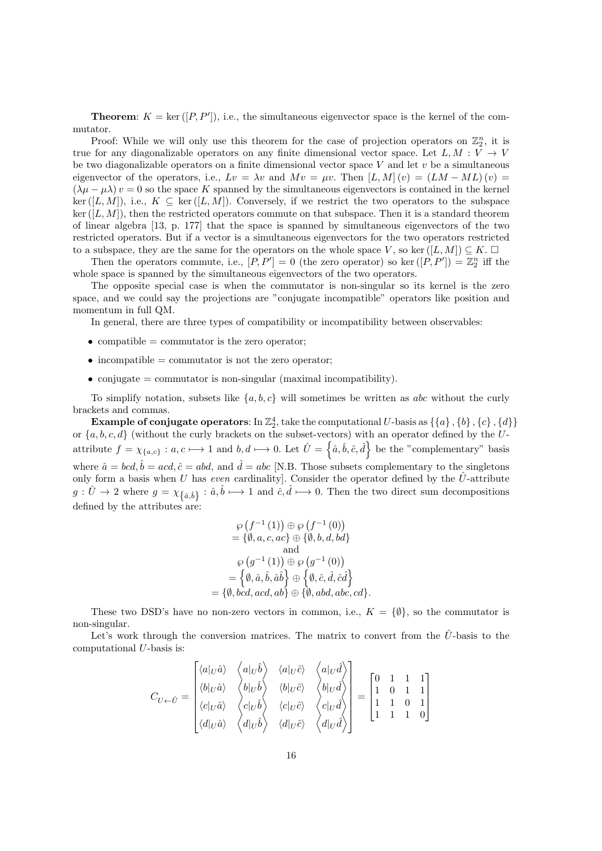**Theorem:**  $K = \text{ker}([P, P$ <sup>'</sup> $])$ , i.e., the simultaneous eigenvector space is the kernel of the commutator.

Proof: While we will only use this theorem for the case of projection operators on  $\mathbb{Z}_2^n$ , it is true for any diagonalizable operators on any finite dimensional vector space. Let  $L, M : V \rightarrow V$ be two diagonalizable operators on a finite dimensional vector space *V* and let *v* be a simultaneous eigenvector of the operators, i.e.,  $Lv = \lambda v$  and  $Mv = \mu v$ . Then  $[L, M](v) = (LM - ML)(v)$  $(\lambda \mu - \mu \lambda) v = 0$  so the space K spanned by the simultaneous eigenvectors is contained in the kernel ker  $([L, M])$ , i.e.,  $K \subseteq \text{ker }([L, M])$ . Conversely, if we restrict the two operators to the subspace  $\ker([L,M])$ , then the restricted operators commute on that subspace. Then it is a standard theorem of linear algebra [13, p. 177] that the space is spanned by simultaneous eigenvectors of the two restricted operators. But if a vector is a simultaneous eigenvectors for the two operators restricted to a subspace, they are the same for the operators on the whole space *V*, so ker  $([L, M]) \subseteq K$ .

Then the operators commute, i.e.,  $[P, P'] = 0$  (the zero operator) so ker  $([P, P']) = \mathbb{Z}_2^n$  iff the whole space is spanned by the simultaneous eigenvectors of the two operators.

The opposite special case is when the commutator is non-singular so its kernel is the zero space, and we could say the projections are "conjugate incompatible" operators like position and momentum in full QM.

In general, there are three types of compatibility or incompatibility between observables:

- compatible = commutator is the zero operator;
- incompatible = commutator is not the zero operator;
- conjugate = commutator is non-singular (maximal incompatibility).

To simplify notation, subsets like  ${a, b, c}$  will sometimes be written as *abc* without the curly brackets and commas.

**Example of conjugate operators**: In  $\mathbb{Z}_2^4$ , take the computational  $U$ -basis as  $\{\{a\},\{b\},\{c\},\{d\}\}$ or *{a, b, c, d}* (without the curly brackets on the subset-vectors) with an operator defined by the *U*attribute  $f = \chi_{\{a,c\}} : a, c \mapsto 1$  and  $b, d \mapsto 0$ . Let  $\hat{U} = \{\hat{a}, \hat{b}, \hat{c}, \hat{d}\}$  be the "complementary" basis where  $\hat{a} = bcd, \hat{b} = acd, \hat{c} = abd$ , and  $\hat{d} = abc$  [N.B. Those subsets complementary to the singletons only form a basis when *U* has *even* cardinality]. Consider the operator defined by the  $\hat{U}$ -attribute  $g: \hat{U} \to 2$  where  $g = \chi_{\{\hat{a},\hat{b}\}} : \hat{a}, \hat{b} \mapsto 1$  and  $\hat{c}, \hat{d} \mapsto 0$ . Then the two direct sum decompositions defined by the attributes are:

$$
\wp\left(f^{-1}\left(1\right)\right)\oplus \wp\left(f^{-1}\left(0\right)\right) \\ = \{\emptyset,a,c,ac\} \oplus \{\emptyset,b,d,bd\} \\ \text{and} \\ \wp\left(g^{-1}\left(1\right)\right)\oplus \wp\left(g^{-1}\left(0\right)\right) \\ = \left\{\emptyset,\hat{a},\hat{b},\hat{a}\hat{b}\right\} \oplus \left\{\emptyset,\hat{c},\hat{d},\hat{c}\hat{d}\right\} \\ = \{\emptyset,bcd,acd,ab\} \oplus \{\emptyset,abd,abc,cd\}.
$$

These two DSD's have no non-zero vectors in common, i.e.,  $K = \{\emptyset\}$ , so the commutator is non-singular.

Let's work through the conversion matrices. The matrix to convert from the  $\hat{U}$ -basis to the computational *U*-basis is:

$$
C_{U \leftarrow \hat{U}} = \begin{bmatrix} \langle a|_{U}\hat{a}\rangle & \langle a|_{U}\hat{b}\rangle & \langle a|_{U}\hat{c}\rangle & \langle a|_{U}\hat{d}\rangle \\ \langle b|_{U}\hat{a}\rangle & \langle b|_{U}\hat{b}\rangle & \langle b|_{U}\hat{c}\rangle & \langle b|_{U}\hat{d}\rangle \\ \langle c|_{U}\hat{a}\rangle & \langle c|_{U}\hat{b}\rangle & \langle c|_{U}\hat{c}\rangle & \langle c|_{U}\hat{d}\rangle \\ \langle d|_{U}\hat{a}\rangle & \langle d|_{U}\hat{b}\rangle & \langle d|_{U}\hat{c}\rangle & \langle d|_{U}\hat{d}\rangle \end{bmatrix} = \begin{bmatrix} 0 & 1 & 1 & 1 \\ 1 & 0 & 1 & 1 \\ 1 & 1 & 0 & 1 \\ 1 & 1 & 1 & 0 \end{bmatrix}
$$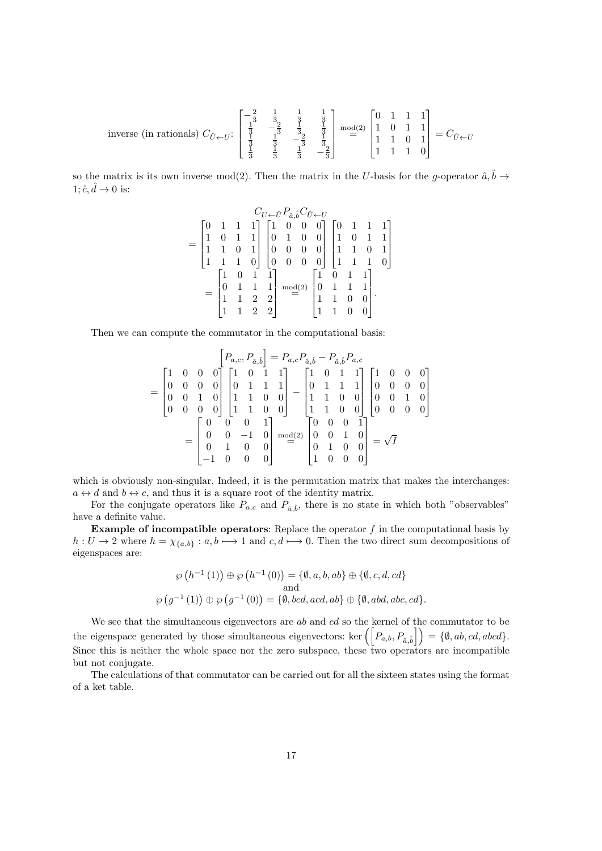$$
\text{inverse (in rationals) } C_{\hat{U} \leftarrow U} : \begin{bmatrix} -\frac{2}{3} & \frac{1}{3} & \frac{1}{3} & \frac{1}{3} \\ \frac{1}{3} & -\frac{2}{3} & \frac{1}{3} & \frac{1}{3} \\ \frac{1}{3} & \frac{1}{3} & -\frac{2}{3} & \frac{1}{3} \\ \frac{1}{3} & \frac{1}{3} & -\frac{2}{3} & \frac{1}{3} \\ \frac{1}{3} & \frac{1}{3} & -\frac{2}{3} & \frac{1}{3} \end{bmatrix} \xrightarrow{\text{mod}(2)} \begin{bmatrix} 0 & 1 & 1 & 1 \\ 1 & 0 & 1 & 1 \\ 1 & 1 & 0 & 1 \\ 1 & 1 & 1 & 0 \end{bmatrix} = C_{\hat{U} \leftarrow U}
$$

so the matrix is its own inverse mod(2). Then the matrix in the *U*-basis for the *g*-operator  $\hat{a}, \hat{b} \rightarrow$  $1; \hat{c}, \hat{d} \rightarrow 0$  is:

$$
= \begin{bmatrix} 0 & 1 & 1 & 1 \\ 1 & 0 & 1 & 1 \\ 1 & 1 & 0 & 1 \\ 1 & 1 & 1 & 0 \end{bmatrix} \begin{bmatrix} 1 & 0 & 0 & 0 \\ 0 & 1 & 0 & 0 \\ 0 & 0 & 0 & 0 \\ 0 & 0 & 0 & 0 \end{bmatrix} \begin{bmatrix} 0 & 1 & 1 & 1 \\ 1 & 0 & 1 & 1 \\ 1 & 1 & 0 & 1 \\ 1 & 1 & 1 & 0 \end{bmatrix}
$$

$$
= \begin{bmatrix} 1 & 0 & 1 & 1 \\ 0 & 1 & 1 & 1 \\ 0 & 1 & 1 & 1 \\ 1 & 1 & 2 & 2 \\ 1 & 1 & 2 & 2 \end{bmatrix} \begin{bmatrix} 1 & 0 & 1 & 1 \\ 0 & 1 & 1 & 1 \\ 0 & 1 & 1 & 1 \\ 1 & 1 & 0 & 0 \\ 1 & 1 & 0 & 0 \end{bmatrix}.
$$

Then we can compute the commutator in the computational basis:

$$
= \begin{bmatrix} 1 & 0 & 0 & 0 \\ 0 & 0 & 0 & 0 \\ 0 & 0 & 1 & 0 \\ 0 & 0 & 0 & 0 \end{bmatrix} \begin{bmatrix} 1 & 0 & 1 & 1 \\ 0 & 1 & 1 & 1 \\ 1 & 1 & 0 & 0 \\ 1 & 1 & 0 & 0 \end{bmatrix} - \begin{bmatrix} 1 & 0 & 1 & 1 \\ 0 & 1 & 1 & 1 \\ 1 & 1 & 0 & 0 \\ 1 & 1 & 0 & 0 \end{bmatrix} \begin{bmatrix} 1 & 0 & 0 & 0 \\ 0 & 1 & 1 & 1 \\ 1 & 1 & 0 & 0 \\ 1 & 1 & 0 & 0 \end{bmatrix} \begin{bmatrix} 1 & 0 & 0 & 0 \\ 0 & 0 & 1 & 0 \\ 0 & 0 & 1 & 0 \\ 0 & 0 & 0 & 0 \end{bmatrix}
$$

$$
= \begin{bmatrix} 0 & 0 & 0 & 1 \\ 0 & 0 & -1 & 0 \\ 0 & 1 & 0 & 0 \\ -1 & 0 & 0 & 0 \end{bmatrix} \stackrel{\text{mod}(2)}{=} \begin{bmatrix} 0 & 0 & 0 & 1 \\ 0 & 0 & 1 & 0 \\ 0 & 1 & 0 & 0 \\ 1 & 0 & 0 & 0 \end{bmatrix} = \sqrt{I}
$$

which is obviously non-singular. Indeed, it is the permutation matrix that makes the interchanges:  $a \leftrightarrow d$  and  $b \leftrightarrow c$ , and thus it is a square root of the identity matrix.

For the conjugate operators like  $P_{a,c}$  and  $P_{\hat{a},\hat{b}}$ , there is no state in which both "observables" have a definite value.

**Example of incompatible operators**: Replace the operator *f* in the computational basis by  $h: U \to 2$  where  $h = \chi_{\{a,b\}}: a, b \mapsto 1$  and  $c, d \mapsto 0$ . Then the two direct sum decompositions of eigenspaces are:

$$
\wp(h^{-1}(1)) \oplus \wp(h^{-1}(0)) = \{\emptyset, a, b, ab\} \oplus \{\emptyset, c, d, cd\}
$$
  
and  

$$
\wp(g^{-1}(1)) \oplus \wp(g^{-1}(0)) = \{\emptyset, bcd, acd, ab\} \oplus \{\emptyset, abd, abc, cd\}.
$$

We see that the simultaneous eigenvectors are *ab* and *cd* so the kernel of the commutator to be the eigenspace generated by those simultaneous eigenvectors: ker  $\left(\left[P_{a,b}, P_{\hat{a}, \hat{b}}\right]\right) = \{\emptyset, ab, cd, abcd\}.$ Since this is neither the whole space nor the zero subspace, these two operators are incompatible but not conjugate.

The calculations of that commutator can be carried out for all the sixteen states using the format of a ket table.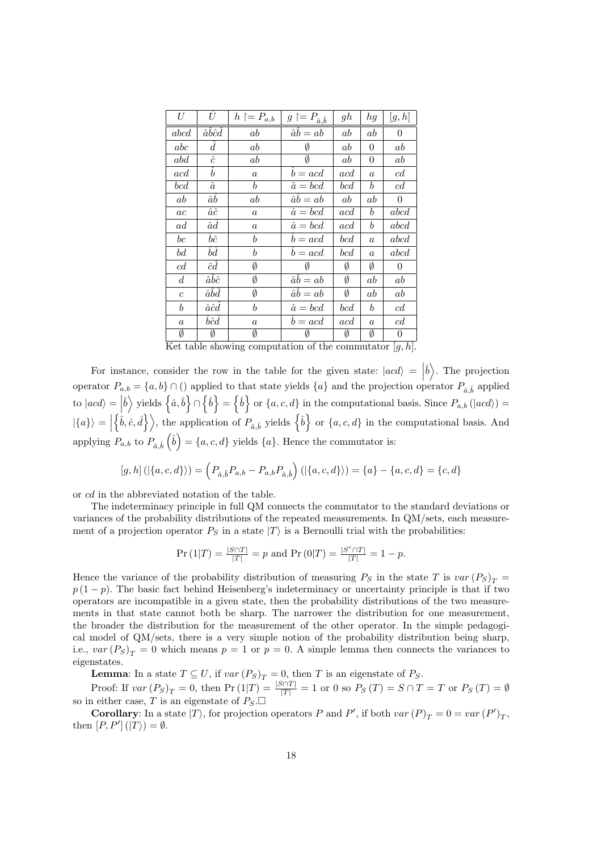| U                | $\hat{U}$                         | $h \upharpoonright = P_{a,b}$ | $g \upharpoonright = P_{\hat{a}, \hat{b}}$ | gh      | hg               | [g,h]                 |
|------------------|-----------------------------------|-------------------------------|--------------------------------------------|---------|------------------|-----------------------|
| abcd             | $\hat{a}\hat{b}\hat{c}\hat{d}$    | ab                            | $\hat{a}\hat{b} = ab$                      | $_{ab}$ | ab               | $\boldsymbol{0}$      |
| abc              | d                                 | ab                            | Ø                                          | $_{ab}$ | $\theta$         | ab                    |
| abd              | $\hat{c}$                         | ab                            | Ø                                          | $_{ab}$ | 0                | ab                    |
| acd              | $\hat{b}$                         | $\boldsymbol{a}$              | $\bar{b} = acd$                            | acd     | $\boldsymbol{a}$ | c d                   |
| bcd              | $\hat{a}$                         | $\mathfrak{b}$                | $\hat{a} = bcd$                            | bcd     | $\boldsymbol{b}$ | c d                   |
| ab               | $\hat{a}\hat{b}$                  | ab                            | $\hat{a}\hat{b} = ab$                      | ab      | ab               | $\theta$              |
| ac               | $\hat{a}\hat{c}$                  | $\boldsymbol{a}$              | $\hat{a} = bcd$                            | acd     | $\boldsymbol{b}$ | abcd                  |
| ad               | $\hat a\hat d$                    | $\it a$                       | $\hat{a} = bcd$                            | acd     | $\boldsymbol{b}$ | abcd                  |
| $_{bc}$          | $\hat{b}\hat{c}$                  | b                             | $b = acd$                                  | bcd     | $\boldsymbol{a}$ | abcd                  |
| bd               | $\hat b \hat d$                   | b                             | $b = acd$                                  | bcd     | $\boldsymbol{a}$ | abcd                  |
| c d              | $\hat cd$                         | Ø                             | Ø                                          | Ø       | Ø                | $\overline{0}$        |
| $\overline{d}$   | $\hat{a}\hat{b}\hat{c}$           | Ø                             | $\hat{a}b = ab$                            | Ø       | ab               | ab                    |
| $\boldsymbol{c}$ | $\hat{a}\hat{b}\hat{d}$           | Ø                             | $\hat{a}\hat{b} = ab$                      | Ø       | ab               | ab                    |
| $\boldsymbol{b}$ | $\hat{a}\hat{c}\hat{d}$           | b                             | $\hat{a} = bcd$                            | bcd     | $\boldsymbol{b}$ | c d                   |
| $\alpha$         | $\hat{b}\hat{c}\hat{d}$           | $\boldsymbol{a}$              | $b = acd$                                  | acd     | $\boldsymbol{a}$ | c d                   |
| Ø<br><b>+ +</b>  | Ø<br>$\mathbf{r}$<br>$\mathbf{1}$ | Ø                             |                                            | Ø       | Ø                | $\theta$<br>г.<br>7.7 |

Ket table showing computation of the commutator [*g, h*].

For instance, consider the row in the table for the given state:  $|acd\rangle = |\hat{b}\rangle$ . The projection operator  $P_{a,b} = \{a,b\} \cap ($  applied to that state yields  $\{a\}$  and the projection operator  $P_{\hat{a},\hat{b}}$  applied to  $|acd\rangle = |\hat{b}\rangle$  yields  $\left\{\hat{a},\hat{b}\right\} \cap \left\{\hat{b}\right\} = \left\{\hat{b}\right\}$  or  $\{a,c,d\}$  in the computational basis. Since  $P_{a,b}$  ( $|acd\rangle$ ) =  $|\{a\}\rangle =$  $\{\hat{b}, \hat{c}, \hat{d}\}\rangle$ , the application of  $P_{\hat{a}, \hat{b}}$  yields  $\{\hat{b}\}\$  or  $\{a, c, d\}$  in the computational basis. And applying  $P_{a,b}$  to  $P_{\hat{a},\hat{b}}(\hat{b}) = \{a,c,d\}$  yields  $\{a\}$ . Hence the commutator is:

$$
[g,h] \left( |\{a,c,d\}\rangle \right) = \left( P_{\hat{a},\hat{b}} P_{a,b} - P_{a,b} P_{\hat{a},\hat{b}} \right) \left( |\{a,c,d\}\rangle \right) = \{a\} - \{a,c,d\} = \{c,d\}
$$

or *cd* in the abbreviated notation of the table.

The indeterminacy principle in full QM connects the commutator to the standard deviations or variances of the probability distributions of the repeated measurements. In QM/sets, each measurement of a projection operator  $P<sub>S</sub>$  in a state  $|T\rangle$  is a Bernoulli trial with the probabilities:

$$
\Pr(1|T) = \frac{|S \cap T|}{|T|} = p \text{ and } \Pr(0|T) = \frac{|S^c \cap T|}{|T|} = 1 - p.
$$

Hence the variance of the probability distribution of measuring  $P_S$  in the state *T* is  $var(P_S)_T =$  $p(1-p)$ . The basic fact behind Heisenberg's indeterminacy or uncertainty principle is that if two operators are incompatible in a given state, then the probability distributions of the two measurements in that state cannot both be sharp. The narrower the distribution for one measurement, the broader the distribution for the measurement of the other operator. In the simple pedagogical model of QM/sets, there is a very simple notion of the probability distribution being sharp, i.e.,  $var(P_S)_{T} = 0$  which means  $p = 1$  or  $p = 0$ . A simple lemma then connects the variances to eigenstates.

**Lemma**: In a state  $T \subseteq U$ , if  $var(P_S)_T = 0$ , then *T* is an eigenstate of  $P_S$ .

Proof: If  $var(P_S)_T = 0$ , then  $Pr(1|T) = \frac{|S \cap T|}{|T|} = 1$  or 0 so  $P_S(T) = S \cap T = T$  or  $P_S(T) = \emptyset$ so in either case, *T* is an eigenstate of  $P_S \square$ 

**Corollary**: In a state  $|T\rangle$ , for projection operators *P* and *P*<sup>'</sup>, if both *var*  $(P)_T = 0 = var(P')_T$ , then  $[P, P']$   $(|T\rangle) = \emptyset$ .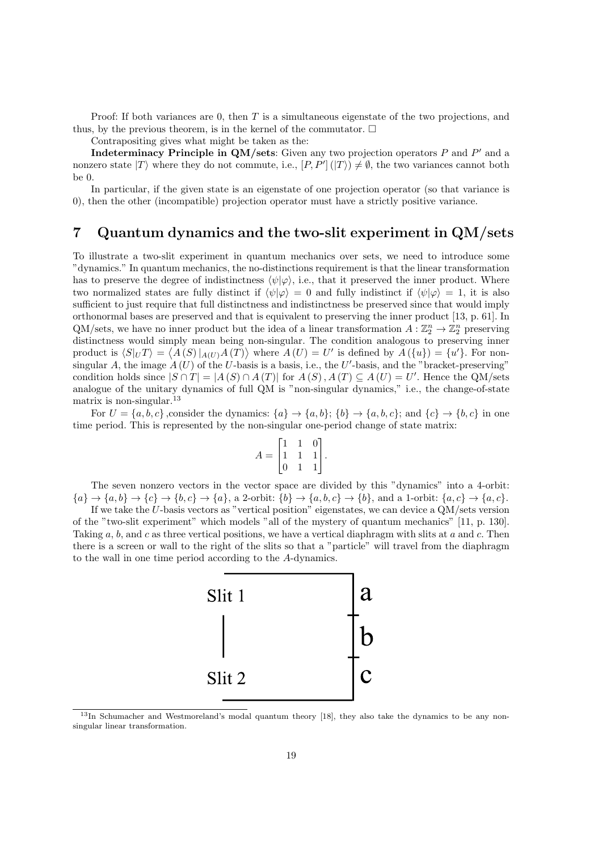Proof: If both variances are 0, then *T* is a simultaneous eigenstate of the two projections, and thus, by the previous theorem, is in the kernel of the commutator.  $\Box$ 

Contrapositing gives what might be taken as the:

**Indeterminacy Principle in QM/sets**: Given any two projection operators *P* and *P'* and a nonzero state  $|T\rangle$  where they do not commute, i.e.,  $[P, P'](|T\rangle) \neq \emptyset$ , the two variances cannot both be 0.

In particular, if the given state is an eigenstate of one projection operator (so that variance is 0), then the other (incompatible) projection operator must have a strictly positive variance.

# **7 Quantum dynamics and the two-slit experiment in QM/sets**

To illustrate a two-slit experiment in quantum mechanics over sets, we need to introduce some "dynamics." In quantum mechanics, the no-distinctions requirement is that the linear transformation has to preserve the degree of indistinctness  $\langle \psi | \varphi \rangle$ , i.e., that it preserved the inner product. Where two normalized states are fully distinct if  $\langle \psi | \varphi \rangle = 0$  and fully indistinct if  $\langle \psi | \varphi \rangle = 1$ , it is also sufficient to just require that full distinctness and indistinctness be preserved since that would imply orthonormal bases are preserved and that is equivalent to preserving the inner product [13, p. 61]. In QM/sets, we have no inner product but the idea of a linear transformation  $A: \mathbb{Z}_2^n \to \mathbb{Z}_2^n$  preserving distinctness would simply mean being non-singular. The condition analogous to preserving inner product is  $\langle S|_U T \rangle = \langle A(S)|_{A(U)} A(T) \rangle$  where  $A(U) = U'$  is defined by  $A(\lbrace u \rbrace) = \lbrace u' \rbrace$ . For nonsingular  $A$ , the image  $A(U)$  of the *U*-basis is a basis, i.e., the *U*'-basis, and the "bracket-preserving" condition holds since  $|S \cap T| = |A(S) \cap A(T)|$  for  $A(S), A(T) \subseteq A(U) = U'$ . Hence the QM/sets analogue of the unitary dynamics of full QM is "non-singular dynamics," i.e., the change-of-state matrix is non-singular.  $^{13}$ 

For  $U = \{a, b, c\}$ , consider the dynamics:  $\{a\} \rightarrow \{a, b\}$ ;  $\{b\} \rightarrow \{a, b, c\}$ ; and  $\{c\} \rightarrow \{b, c\}$  in one time period. This is represented by the non-singular one-period change of state matrix:

$$
A = \begin{bmatrix} 1 & 1 & 0 \\ 1 & 1 & 1 \\ 0 & 1 & 1 \end{bmatrix}.
$$

The seven nonzero vectors in the vector space are divided by this "dynamics" into a 4-orbit:  ${a} \rightarrow {a,b} \rightarrow {c} \rightarrow {b,c} \rightarrow {a}, \text{ a 2-orbit: } {b} \rightarrow {a,b,c} \rightarrow {b}, \text{ and a 1-orbit: } {a,c} \rightarrow {a,c}.$ 

If we take the *U*-basis vectors as "vertical position" eigenstates, we can device a QM/sets version of the "two-slit experiment" which models "all of the mystery of quantum mechanics" [11, p. 130]. Taking *a*, *b*, and *c* as three vertical positions, we have a vertical diaphragm with slits at *a* and *c*. Then there is a screen or wall to the right of the slits so that a "particle" will travel from the diaphragm to the wall in one time period according to the *A*-dynamics.



<sup>13</sup>In Schumacher and Westmoreland's modal quantum theory [18], they also take the dynamics to be any nonsingular linear transformation.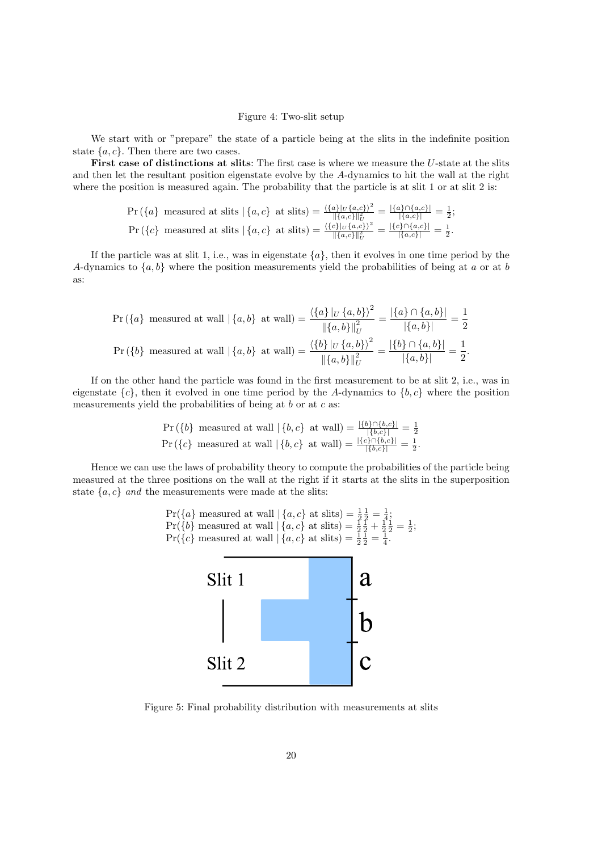#### Figure 4: Two-slit setup

We start with or "prepare" the state of a particle being at the slits in the indefinite position state *{a, c}*. Then there are two cases.

**First case of distinctions at slits**: The first case is where we measure the *U*-state at the slits and then let the resultant position eigenstate evolve by the *A*-dynamics to hit the wall at the right where the position is measured again. The probability that the particle is at slit 1 or at slit 2 is:

$$
\Pr(\{a\} \text{ measured at slits } |\{a,c\} \text{ at slits}) = \frac{\langle \{a\}|_{U}\{a,c\}\rangle^{2}}{\|\{a,c\}\|_{U}^{2}} = \frac{|\{a\}\cap\{a,c\}|}{|\{a,c\}|} = \frac{1}{2};
$$
\n
$$
\Pr(\{c\} \text{ measured at slits } |\{a,c\} \text{ at slits}) = \frac{\langle \{c\}|_{U}\{a,c\}\rangle^{2}}{\|\{a,c\}\|_{U}^{2}} = \frac{|\{c\}\cap\{a,c\}|}{|\{a,c\}|} = \frac{1}{2}.
$$

If the particle was at slit 1, i.e., was in eigenstate  $\{a\}$ , then it evolves in one time period by the *A*-dynamics to *{a, b}* where the position measurements yield the probabilities of being at *a* or at *b* as:

$$
\Pr(\{a\} \text{ measured at wall } | \{a, b\} \text{ at wall}) = \frac{\langle \{a\} |_{U} \{a, b\} \rangle^{2}}{\| \{a, b\} \|_{U}^{2}} = \frac{\langle \{a\} \cap \{a, b\} \rangle}{\| \{a, b\} \|_{U}} = \frac{1}{2}
$$
\n
$$
\Pr(\{b\} \text{ measured at wall } | \{a, b\} \text{ at wall}) = \frac{\langle \{b\} |_{U} \{a, b\} \rangle^{2}}{\| \{a, b\} \|_{U}^{2}} = \frac{\langle \{b\} \cap \{a, b\} \rangle}{\| \{a, b\} \|_{U}} = \frac{1}{2}.
$$

If on the other hand the particle was found in the first measurement to be at slit 2, i.e., was in eigenstate  ${c}$ , then it evolved in one time period by the *A*-dynamics to  ${b, c}$  where the position measurements yield the probabilities of being at *b* or at *c* as:

$$
\Pr\left(\{b\} \text{ measured at wall} \mid \{b, c\} \text{ at wall}\right) = \frac{|\{b\} \cap \{b, c\}|}{|\{b, c\}|} = \frac{1}{2}
$$
\n
$$
\Pr\left(\{c\} \text{ measured at wall} \mid \{b, c\} \text{ at wall}\right) = \frac{|\{c\} \cap \{b, c\}|}{|\{b, c\}|} = \frac{1}{2}.
$$

Hence we can use the laws of probability theory to compute the probabilities of the particle being measured at the three positions on the wall at the right if it starts at the slits in the superposition state  $\{a, c\}$  *and* the measurements were made at the slits:



Figure 5: Final probability distribution with measurements at slits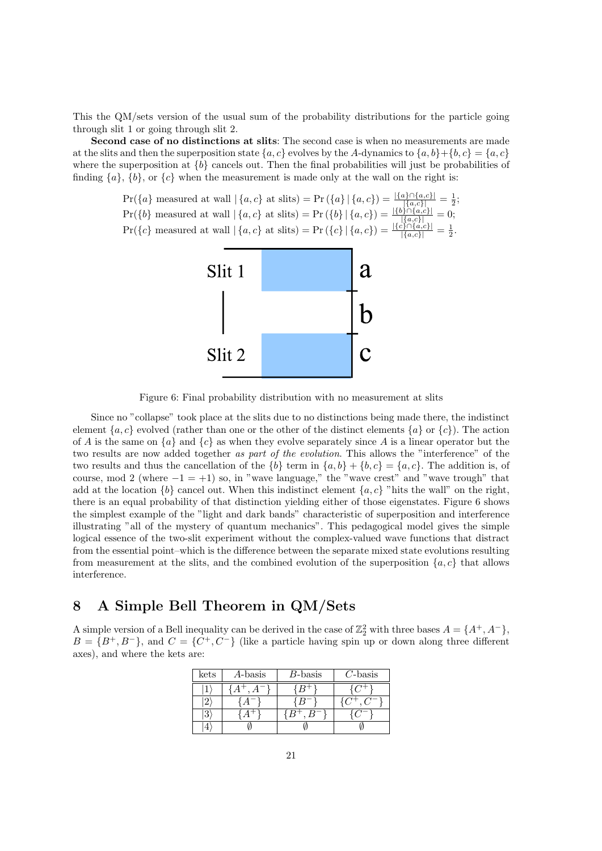This the QM/sets version of the usual sum of the probability distributions for the particle going through slit 1 or going through slit 2.

**Second case of no distinctions at slits**: The second case is when no measurements are made at the slits and then the superposition state  $\{a, c\}$  evolves by the *A*-dynamics to  $\{a, b\} + \{b, c\} = \{a, c\}$ where the superposition at  ${b}$  cancels out. Then the final probabilities will just be probabilities of finding  $\{a\}$ ,  $\{b\}$ , or  $\{c\}$  when the measurement is made only at the wall on the right is:

> $Pr({a} \text{ measured at wall } | {a, c}$  at slits) =  $Pr({a} | {a, c}) = \frac{|{a} \cap {a, c}|}{|{a, c}|} = \frac{1}{2};$  $\Pr(\{b\} \text{ measured at wall } | \{a, c\} \text{ at slits}) = \Pr(\{b\} | \{a, c\}) = \frac{|\{b\} \cap \{a, c\}|}{|\{a, c\}|} = 0;$  $Pr({c} \text{ measured at wall } | {a, c}$  at slits) =  $Pr({c} | {a, c}) = \frac{|{c} \cap {a, c}|}{|{a, c}|} = \frac{1}{2}$ .



Figure 6: Final probability distribution with no measurement at slits

Since no "collapse" took place at the slits due to no distinctions being made there, the indistinct element  ${a, c}$  evolved (rather than one or the other of the distinct elements  ${a}$  or  ${c}$ ). The action of *A* is the same on  $\{a\}$  and  $\{c\}$  as when they evolve separately since *A* is a linear operator but the two results are now added together *as part of the evolution*. This allows the "interference" of the two results and thus the cancellation of the  $\{b\}$  term in  $\{a, b\} + \{b, c\} = \{a, c\}$ . The addition is, of course, mod 2 (where *−*1 = +1) so, in "wave language," the "wave crest" and "wave trough" that add at the location  ${b}$  cancel out. When this indistinct element  ${a, c}$  "hits the wall" on the right, there is an equal probability of that distinction yielding either of those eigenstates. Figure 6 shows the simplest example of the "light and dark bands" characteristic of superposition and interference illustrating "all of the mystery of quantum mechanics". This pedagogical model gives the simple logical essence of the two-slit experiment without the complex-valued wave functions that distract from the essential point–which is the difference between the separate mixed state evolutions resulting from measurement at the slits, and the combined evolution of the superposition  ${a, c}$  that allows interference.

# **8 A Simple Bell Theorem in QM/Sets**

A simple version of a Bell inequality can be derived in the case of  $\mathbb{Z}_2^2$  with three bases  $A = \{A^+, A^-\}$ ,  $B = \{B^+, B^-\}$ , and  $C = \{C^+, C^-\}$  (like a particle having spin up or down along three different axes), and where the kets are:

| kets | A-basis | <i>B</i> -basis | $C$ -basis |  |
|------|---------|-----------------|------------|--|
|      |         |                 |            |  |
|      |         |                 |            |  |
| 3    |         |                 |            |  |
|      |         |                 |            |  |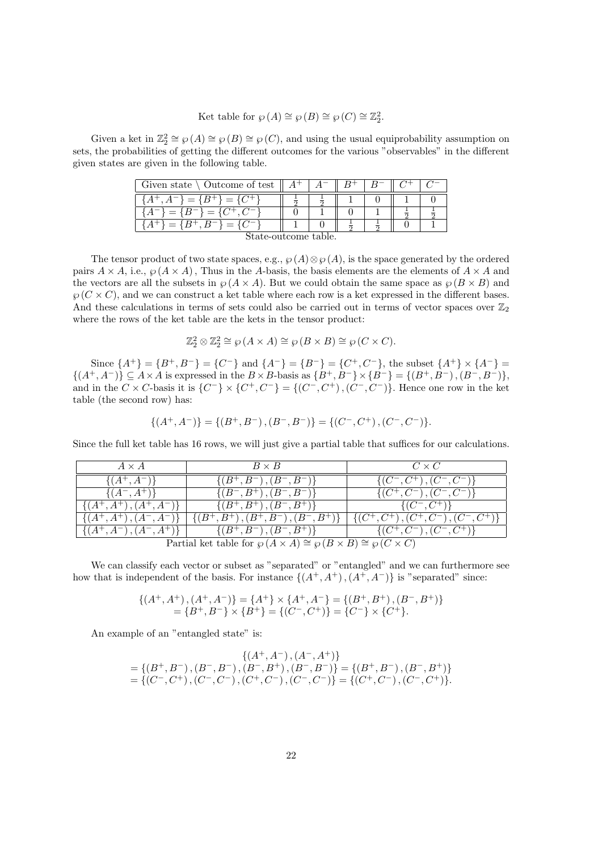$$
Ket table for \varphi(A) \cong \varphi(B) \cong \varphi(C) \cong \mathbb{Z}_2^2.
$$

Given a ket in  $\mathbb{Z}_2^2 \cong \wp(A) \cong \wp(B) \cong \wp(C)$ , and using the usual equiprobability assumption on sets, the probabilities of getting the different outcomes for the various "observables" in the different given states are given in the following table.

| Given state $\setminus$ Outcome of test $\parallel A^+ \parallel A^-$ |  |  |  |  |  |
|-----------------------------------------------------------------------|--|--|--|--|--|
| ${A^+, A^-} = {B^+} = {C^+}$                                          |  |  |  |  |  |
| ${A^{-}} = {B^{-}} = {C^{+}, C^{-}}$                                  |  |  |  |  |  |
| $A^+\} = \{B^+, B^-\} = \{C^-\}$                                      |  |  |  |  |  |
| State-outcome table.                                                  |  |  |  |  |  |

The tensor product of two state spaces, e.g.,  $\wp(A) \otimes \wp(A)$ , is the space generated by the ordered pairs  $A \times A$ , i.e.,  $\wp(A \times A)$ , Thus in the *A*-basis, the basis elements are the elements of  $A \times A$  and the vectors are all the subsets in  $\wp(A \times A)$ . But we could obtain the same space as  $\wp(B \times B)$  and  $\wp(C \times C)$ , and we can construct a ket table where each row is a ket expressed in the different bases. And these calculations in terms of sets could also be carried out in terms of vector spaces over  $\mathbb{Z}_2$ where the rows of the ket table are the kets in the tensor product:

$$
\mathbb{Z}_2^2 \otimes \mathbb{Z}_2^2 \cong \wp(A \times A) \cong \wp(B \times B) \cong \wp(C \times C).
$$

Since  $\{A^+\} = \{B^+, B^-\} = \{C^-\}\$ and  $\{A^-\} = \{B^-\} = \{C^+, C^-\}\$ , the subset  $\{A^+\}\times\{A^-\} =$  $\{(A^+, A^-)\}\subseteq A\times A$  is expressed in the  $B\times B$ -basis as  $\{B^+, B^-\}\times \{B^-\}=\{(B^+, B^-), (B^-, B^-)\},$ and in the  $C \times C$ -basis it is  $\{C^{-}\}\times \{C^{+}, C^{-}\} = \{(C^{-}, C^{+}), (C^{-}, C^{-})\}$ . Hence one row in the ket table (the second row) has:

$$
\{(A^+,A^-)\}=\{(B^+,B^-)\,,(B^-,B^-)\}=\{(C^-,C^+)\,,(C^-,C^-)\}.
$$

Since the full ket table has 16 rows, we will just give a partial table that suffices for our calculations.

| $A \times A$                                                                        | $B \times B$                                                              | $C \times C$                                        |  |  |  |  |
|-------------------------------------------------------------------------------------|---------------------------------------------------------------------------|-----------------------------------------------------|--|--|--|--|
| $\{(A^+, A^-)\}\$                                                                   | $\{(B^+, B^-), (B^-, B^-)\}\$                                             | $\{(C^-, C^+), (C^-, C^-)\}\$                       |  |  |  |  |
| $\{(A^-,A^+)\}\$                                                                    | $\{(B^-, B^+), (B^-, B^-)\}\$                                             | $\{(C^+, C^-), (C^-, C^-)\}$                        |  |  |  |  |
| $\{(A^+, A^+), (A^+, A^-)\}\$                                                       | $\{(B^+, B^+), (B^-, B^+)\}\$                                             | $\{(C^-, C^+) \}$                                   |  |  |  |  |
|                                                                                     | $\{ (A^+, A^+), (A^-, A^-) \}$ $\{ (B^+, B^+), (B^+, B^-), (B^-, B^+) \}$ | $\overline{\{(C^+, C^+), (C^+, C^-), (C^-, C^+)\}}$ |  |  |  |  |
|                                                                                     | $\{(A^+, A^-), (A^-, A^+)\}\$ $\{(B^+, B^-), (B^-, B^+)\}\$               | $\overline{\{(C^+, C^-), (C^-, C^+)\}}$             |  |  |  |  |
| Partial ket table for $\wp(A \times A) \cong \wp(B \times B) \cong \wp(C \times C)$ |                                                                           |                                                     |  |  |  |  |

We can classify each vector or subset as "separated" or "entangled" and we can furthermore see how that is independent of the basis. For instance  $\{(A^+, A^+), (A^+, A^-)\}\$ is "separated" since:

$$
\{(A^+, A^+), (A^+, A^-)\} = \{A^+\} \times \{A^+, A^-\} = \{(B^+, B^+), (B^-, B^+)\}\
$$
  
=  $\{B^+, B^-\} \times \{B^+\} = \{(C^-, C^+)\} = \{C^-\} \times \{C^+\}.$ 

An example of an "entangled state" is:

$$
\begin{array}{c} \{ (A^+,A^-),(A^-,A^+) \} \\ = \{ (B^+,B^-),(B^-,B^-),(B^-,B^+),(B^-,B^-) \} = \{ (B^+,B^-),(B^-,B^+) \} \\ = \{ (C^-,C^+),(C^-,C^-),(C^+,C^-),(C^-,C^-) \} = \{ (C^+,C^-),(C^-,C^+) \}. \end{array}
$$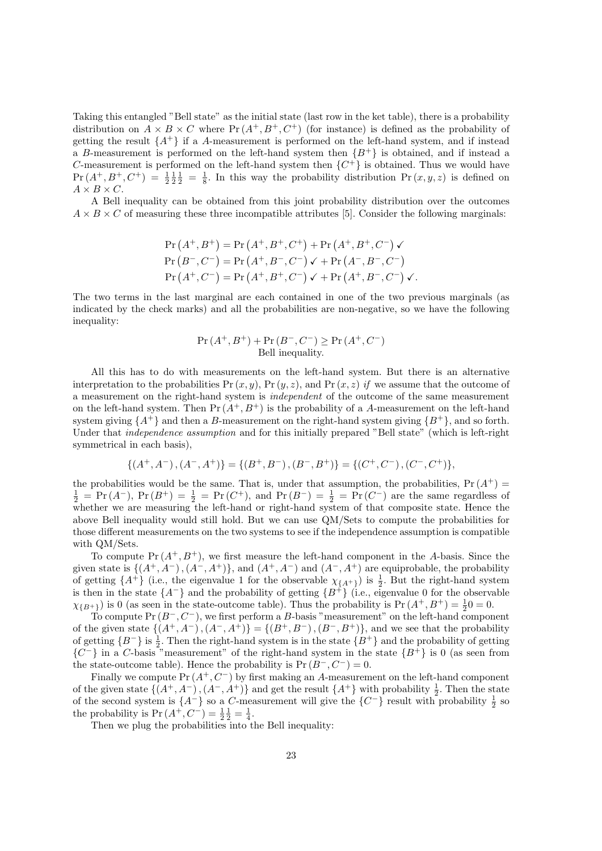Taking this entangled "Bell state" as the initial state (last row in the ket table), there is a probability distribution on  $A \times B \times C$  where  $Pr(A^+, B^+, C^+)$  (for instance) is defined as the probability of getting the result  $\{A^+\}$  if a *A*-measurement is performed on the left-hand system, and if instead a *B*-measurement is performed on the left-hand system then  ${B^+}$  is obtained, and if instead a *C*-measurement is performed on the left-hand system then  ${C^+}$  is obtained. Thus we would have  $Pr(A^+, B^+, C^+) = \frac{1}{2} \frac{1}{2} \frac{1}{2} = \frac{1}{8}$ . In this way the probability distribution  $Pr(x, y, z)$  is defined on  $A \times B \times C$ .

A Bell inequality can be obtained from this joint probability distribution over the outcomes  $A \times B \times C$  of measuring these three incompatible attributes [5]. Consider the following marginals:

$$
\Pr(A^+, B^+) = \Pr(A^+, B^+, C^+) + \Pr(A^+, B^+, C^-) \checkmark
$$
  
\n
$$
\Pr(B^-, C^-) = \Pr(A^+, B^-, C^-) \checkmark + \Pr(A^-, B^-, C^-)
$$
  
\n
$$
\Pr(A^+, C^-) = \Pr(A^+, B^+, C^-) \checkmark + \Pr(A^+, B^-, C^-) \checkmark.
$$

The two terms in the last marginal are each contained in one of the two previous marginals (as indicated by the check marks) and all the probabilities are non-negative, so we have the following inequality:

$$
Pr(A^+, B^+) + Pr(B^-, C^-) \ge Pr(A^+, C^-)
$$
  
Bell inequality.

All this has to do with measurements on the left-hand system. But there is an alternative interpretation to the probabilities Pr  $(x, y)$ , Pr  $(y, z)$ , and Pr  $(x, z)$  *if* we assume that the outcome of a measurement on the right-hand system is *independent* of the outcome of the same measurement on the left-hand system. Then  $Pr(A^+, B^+)$  is the probability of a *A*-measurement on the left-hand system giving  $\{A^+\}$  and then a *B*-measurement on the right-hand system giving  $\{B^+\}$ , and so forth. Under that *independence assumption* and for this initially prepared "Bell state" (which is left-right symmetrical in each basis),

$$
\{(A^+,A^-),(A^-,A^+)\}=\{(B^+,B^-),(B^-,B^+)\}=\{(C^+,C^-),(C^-,C^+)\},
$$

the probabilities would be the same. That is, under that assumption, the probabilities,  $Pr(A^+)$  $\frac{1}{2}$  = Pr(*A*<sup>-</sup>), Pr(*B*<sup>+</sup>) =  $\frac{1}{2}$  = Pr(*C*<sup>+</sup>), and Pr(*B*<sup>-</sup>) =  $\frac{1}{2}$  = Pr(*C*<sup>-</sup>) are the same regardless of whether we are measuring the left-hand or right-hand system of that composite state. Hence the above Bell inequality would still hold. But we can use QM/Sets to compute the probabilities for those different measurements on the two systems to see if the independence assumption is compatible with QM/Sets.

To compute  $Pr(A^+, B^+)$ , we first measure the left-hand component in the *A*-basis. Since the given state is  $\{(A^+, A^-), (A^-, A^+) \}$ , and  $(A^+, A^-)$  and  $(A^-, A^+)$  are equiprobable, the probability of getting  $\{A^+\}$  (i.e., the eigenvalue 1 for the observable  $\chi_{\{A^+\}}$ ) is  $\frac{1}{2}$ . But the right-hand system is then in the state  ${A^{-}}$  and the probability of getting  ${B^{+}}$  (i.e., eigenvalue 0 for the observable  $\chi_{\{B^+\}}$ ) is 0 (as seen in the state-outcome table). Thus the probability is  $Pr(A^+, B^+) = \frac{1}{2}0 = 0$ .

To compute Pr (*B<sup>−</sup>, C<sup>−</sup>*), we first perform a *B*-basis "measurement" on the left-hand component of the given state *{*(*A*<sup>+</sup>*, A<sup>−</sup>*)*,*(*A<sup>−</sup>, A*<sup>+</sup>)*}* = *{*(*B*<sup>+</sup>*, B<sup>−</sup>*)*,*(*B<sup>−</sup>, B*<sup>+</sup>)*}*, and we see that the probability of getting  ${B^-}$  is  $\frac{1}{2}$ . Then the right-hand system is in the state  ${B^+}$  and the probability of getting  ${C^-}$ } in a *C*-basis "measurement" of the right-hand system in the state  ${B^+}$  is 0 (as seen from the state-outcome table). Hence the probability is  $Pr(B^-, C^-) = 0$ .

Finally we compute Pr (*A*<sup>+</sup>*, C<sup>−</sup>*) by first making an *A*-measurement on the left-hand component of the given state  $\{(A^+, A^-), (A^-, A^+) \}$  and get the result  $\{A^+\}$  with probability  $\frac{1}{2}$ . Then the state of the second system is  $\{A^-\}$  so a *C*-measurement will give the  $\{C^-\}$  result with probability  $\frac{1}{2}$  so the probability is  $Pr(A^{+}, C^{-}) = \frac{1}{2} \frac{1}{2} = \frac{1}{4}$ .

Then we plug the probabilities into the Bell inequality: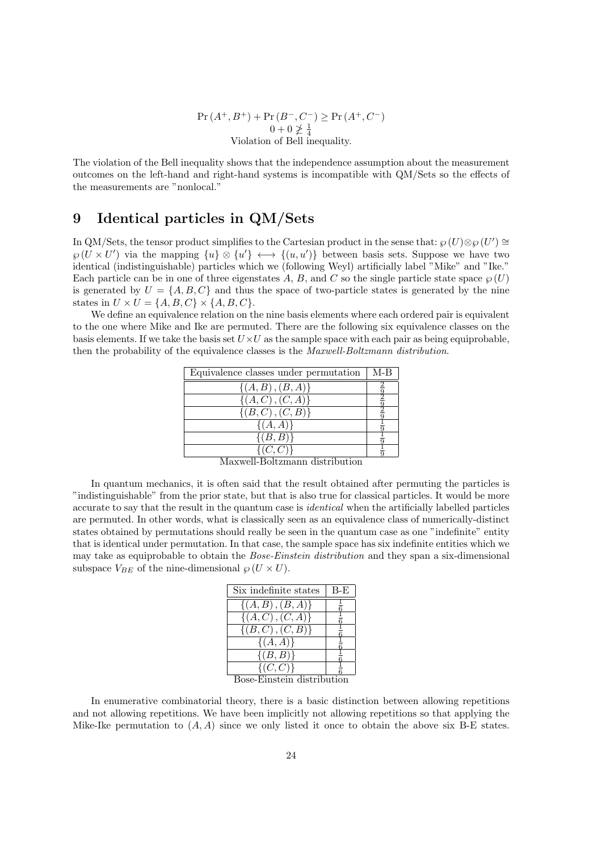$Pr(A^{+}, B^{+}) + Pr(B^{-}, C^{-}) \geq Pr(A^{+}, C^{-})$  $0 + 0 \ngeq \frac{1}{4}$ <br>Violation of Bell inequality.

The violation of the Bell inequality shows that the independence assumption about the measurement outcomes on the left-hand and right-hand systems is incompatible with QM/Sets so the effects of the measurements are "nonlocal."

# **9 Identical particles in QM/Sets**

In QM/Sets, the tensor product simplifies to the Cartesian product in the sense that:  $\wp(U) \otimes \wp(U') \cong$  $\wp(U \times U')$  via the mapping  $\{u\} \otimes \{u'\} \longleftrightarrow \{(u, u')\}$  between basis sets. Suppose we have two identical (indistinguishable) particles which we (following Weyl) artificially label "Mike" and "Ike." Each particle can be in one of three eigenstates A, B, and C so the single particle state space  $\wp(U)$ is generated by  $U = \{A, B, C\}$  and thus the space of two-particle states is generated by the nine states in  $U \times U = \{A, B, C\} \times \{A, B, C\}$ .

We define an equivalence relation on the nine basis elements where each ordered pair is equivalent to the one where Mike and Ike are permuted. There are the following six equivalence classes on the basis elements. If we take the basis set  $U \times U$  as the sample space with each pair as being equiprobable, then the probability of the equivalence classes is the *Maxwell-Boltzmann distribution*.

| Equivalence classes under permutation             | $M-B$ |
|---------------------------------------------------|-------|
| $\{(A, B), (B, A)\}\$                             |       |
| $\{(A,C), (C,A)\}\$                               |       |
| $\{(B,C), (C,B)\}\$                               |       |
| $\{(A, A)\}\$                                     |       |
| $\{(B,B)\}\$                                      |       |
| (C, C)<br>יי רביו<br>$\cdot$ 1<br>ъ г<br>$\cdots$ |       |

Maxwell-Boltzmann distribution

In quantum mechanics, it is often said that the result obtained after permuting the particles is "indistinguishable" from the prior state, but that is also true for classical particles. It would be more accurate to say that the result in the quantum case is *identical* when the artificially labelled particles are permuted. In other words, what is classically seen as an equivalence class of numerically-distinct states obtained by permutations should really be seen in the quantum case as one "indefinite" entity that is identical under permutation. In that case, the sample space has six indefinite entities which we may take as equiprobable to obtain the *Bose-Einstein distribution* and they span a six-dimensional subspace  $V_{BE}$  of the nine-dimensional  $\wp$  ( $U \times U$ ).

| $B-E$                  |
|------------------------|
|                        |
|                        |
|                        |
|                        |
|                        |
| Dege Einstein distribu |
|                        |

Bose-Einstein distribution

In enumerative combinatorial theory, there is a basic distinction between allowing repetitions and not allowing repetitions. We have been implicitly not allowing repetitions so that applying the Mike-Ike permutation to  $(A, A)$  since we only listed it once to obtain the above six B-E states.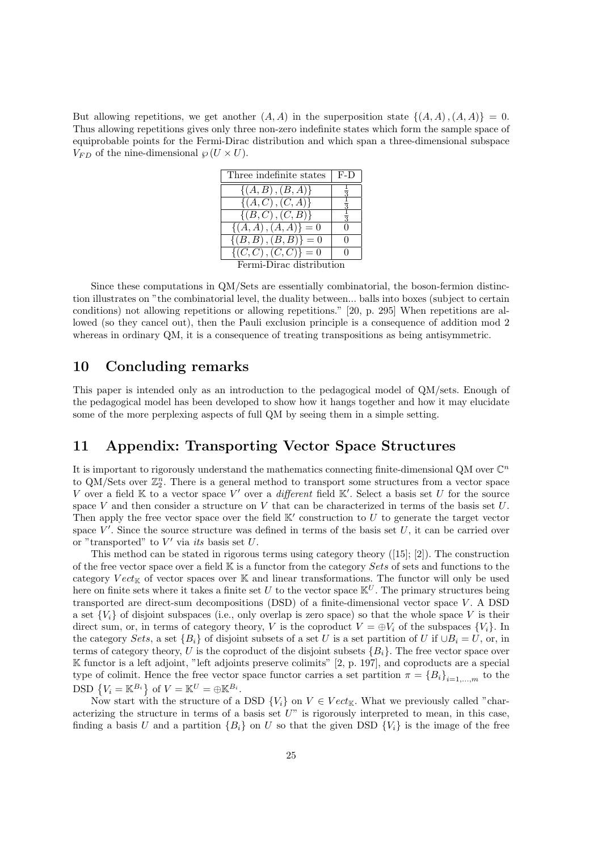But allowing repetitions, we get another  $(A, A)$  in the superposition state  $\{(A, A), (A, A)\} = 0$ . Thus allowing repetitions gives only three non-zero indefinite states which form the sample space of equiprobable points for the Fermi-Dirac distribution and which span a three-dimensional subspace  $V_{FD}$  of the nine-dimensional  $\wp$  (*U*  $\times$  *U*).

| Three indefinite states             | $F-D$        |  |
|-------------------------------------|--------------|--|
| $\{(A, B), (B, A)\}\$               |              |  |
| $\{(A, C), (C, A)\}\$               |              |  |
| $\{(B,C), (C,B)\}\$                 |              |  |
| $\{(A, A), (A, A)\}\equiv 0$        |              |  |
| $\{(B, B), (\overline{B, B})\} = 0$ | $\Omega$     |  |
| $\{(C, C), (C, C)\}=0$              | $\mathbf{I}$ |  |
| Fermi-Dirac distribution            |              |  |

Since these computations in QM/Sets are essentially combinatorial, the boson-fermion distinction illustrates on "the combinatorial level, the duality between... balls into boxes (subject to certain conditions) not allowing repetitions or allowing repetitions." [20, p. 295] When repetitions are allowed (so they cancel out), then the Pauli exclusion principle is a consequence of addition mod 2 whereas in ordinary QM, it is a consequence of treating transpositions as being antisymmetric.

#### **10 Concluding remarks**

This paper is intended only as an introduction to the pedagogical model of QM/sets. Enough of the pedagogical model has been developed to show how it hangs together and how it may elucidate some of the more perplexing aspects of full QM by seeing them in a simple setting.

# **11 Appendix: Transporting Vector Space Structures**

It is important to rigorously understand the mathematics connecting finite-dimensional QM over  $\mathbb{C}^n$ to QM/Sets over  $\mathbb{Z}_2^n$ . There is a general method to transport some structures from a vector space *V* over a field **K** to a vector space *V*<sup>*'*</sup> over a *different* field **K**<sup>*'*</sup>. Select a basis set *U* for the source space *V* and then consider a structure on *V* that can be characterized in terms of the basis set *U*. Then apply the free vector space over the field  $K'$  construction to  $U$  to generate the target vector space  $V'$ . Since the source structure was defined in terms of the basis set  $U$ , it can be carried over or "transported" to *V ′* via *its* basis set *U*.

This method can be stated in rigorous terms using category theory  $([15]; [2])$ . The construction of the free vector space over a field K is a functor from the category *Sets* of sets and functions to the category  $Vect_{\mathbb{K}}$  of vector spaces over  $\mathbb{K}$  and linear transformations. The functor will only be used here on finite sets where it takes a finite set *U* to the vector space  $\mathbb{K}^U$ . The primary structures being transported are direct-sum decompositions (DSD) of a finite-dimensional vector space *V* . A DSD a set  ${V_i}$  of disjoint subspaces (i.e., only overlap is zero space) so that the whole space *V* is their direct sum, or, in terms of category theory, *V* is the coproduct  $V = \bigoplus V_i$  of the subspaces  $\{V_i\}$ . In the category *Sets*, a set  ${B_i}$  of disjoint subsets of a set *U* is a set partition of *U* if  $\cup B_i = U$ , or, in terms of category theory, *U* is the coproduct of the disjoint subsets  ${B<sub>i</sub>}$ . The free vector space over K functor is a left adjoint, "left adjoints preserve colimits" [2, p. 197], and coproducts are a special type of colimit. Hence the free vector space functor carries a set partition  $\pi = \{B_i\}_{i=1,\dots,m}$  to the DSD  $\{V_i = \mathbb{K}^{B_i}\}\$  of  $V = \mathbb{K}^U = \bigoplus \mathbb{K}^{B_i}$ .

Now start with the structure of a DSD  ${V_i}$  on  $V \in Vect_{\mathbb{K}}$ . What we previously called "characterizing the structure in terms of a basis set *U*" is rigorously interpreted to mean, in this case, finding a basis *U* and a partition  ${B_i}$  on *U* so that the given DSD  ${V_i}$  is the image of the free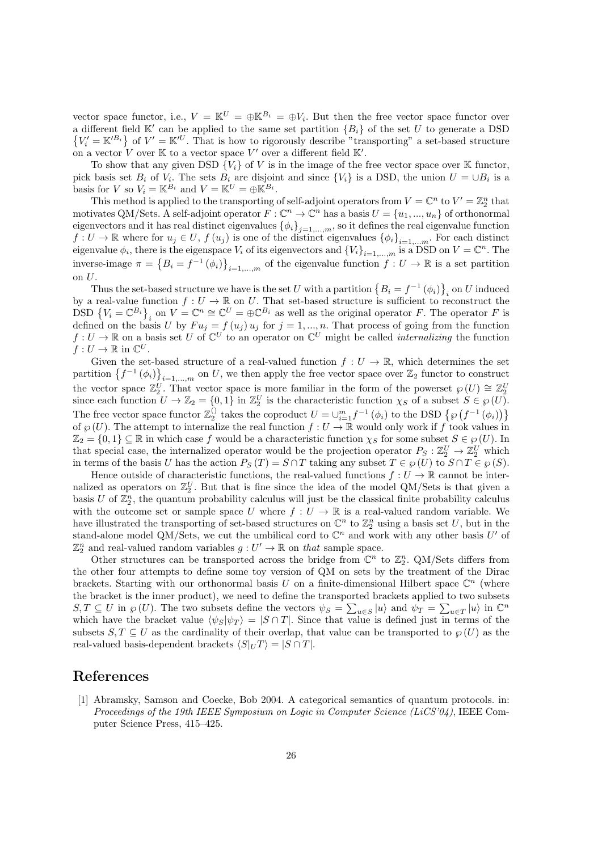vector space functor, i.e.,  $V = \mathbb{K}^U = \bigoplus \mathbb{K}^{B_i} = \bigoplus V_i$ . But then the free vector space functor over a different field K*′* can be applied to the same set partition *{Bi}* of the set *U* to generate a DSD  $\{V_i' = \mathbb{K}'^{B_i}\}\$  of  $V' = \mathbb{K}'^U$ . That is how to rigorously describe "transporting" a set-based structure on a vector  $V$  over  $K$  to a vector space  $V'$  over a different field  $K'$ .

To show that any given DSD  ${V_i}$  of *V* is in the image of the free vector space over K functor, pick basis set  $B_i$  of  $V_i$ . The sets  $B_i$  are disjoint and since  $\{V_i\}$  is a DSD, the union  $U = \bigcup B_i$  is a basis for *V* so  $V_i = \mathbb{K}^{B_i}$  and  $V = \mathbb{K}^U = \bigoplus \mathbb{K}^{B_i}$ .

This method is applied to the transporting of self-adjoint operators from  $V = \mathbb{C}^n$  to  $V' = \mathbb{Z}_2^n$  that motivates QM/Sets. A self-adjoint operator  $F: \mathbb{C}^n \to \mathbb{C}^n$  has a basis  $U = \{u_1, ..., u_n\}$  of orthonormal eigenvectors and it has real distinct eigenvalues  $\{\phi_i\}_{i=1,\dots,m}$ , so it defines the real eigenvalue function *f* : *U* → R where for  $u_j \in U$ ,  $f(u_j)$  is one of the distinct eigenvalues  $\{\phi_i\}_{i=1,...,m}$ . For each distinct eigenvalue  $\phi_i$ , there is the eigenspace  $V_i$  of its eigenvectors and  ${V_i}_{i=1,\dots,m}$  is a DSD on  $V = \mathbb{C}^n$ . The inverse-image  $\pi = \{B_i = f^{-1}(\phi_i)\}_{i=1,\dots,m}$  of the eigenvalue function  $f: U \to \mathbb{R}$  is a set partition on *U*.

Thus the set-based structure we have is the set *U* with a partition  $\{B_i = f^{-1}(\phi_i)\}_i$  on *U* induced by a real-value function  $f: U \to \mathbb{R}$  on U. That set-based structure is sufficient to reconstruct the DSD  ${V_i = \mathbb{C}^{B_i}}_i$  on  $V = \mathbb{C}^n \cong \mathbb{C}^U = \oplus \mathbb{C}^{B_i}$  as well as the original operator *F*. The operator *F* is defined on the basis *U* by  $Fu_j = f(u_j)u_j$  for  $j = 1, ..., n$ . That process of going from the function  $f: U \to \mathbb{R}$  on a basis set *U* of  $\mathbb{C}^U$  to an operator on  $\mathbb{C}^U$  might be called *internalizing* the function  $f: U \to \mathbb{R}$  in  $\mathbb{C}^U$ .

Given the set-based structure of a real-valued function  $f: U \to \mathbb{R}$ , which determines the set partition  $\{f^{-1}(\phi_i)\}_{i=1,\dots,m}$  on *U*, we then apply the free vector space over  $\mathbb{Z}_2$  functor to construct the vector space  $\mathbb{Z}_2^U$ . That vector space is more familiar in the form of the powerset  $\wp(U) \cong \mathbb{Z}_2^U$ since each function  $U \to \mathbb{Z}_2 = \{0,1\}$  in  $\mathbb{Z}_2^U$  is the characteristic function  $\chi_S$  of a subset  $S \in \wp(U)$ . The free vector space functor  $\mathbb{Z}_2^{\{ \}}$  takes the coproduct  $U = \cup_{i=1}^m f^{-1}(\phi_i)$  to the DSD  $\{ \wp(f^{-1}(\phi_i)) \}$ of  $\wp(U)$ . The attempt to internalize the real function  $f: U \to \mathbb{R}$  would only work if f took values in  $\mathbb{Z}_2 = \{0,1\} \subseteq \mathbb{R}$  in which case f would be a characteristic function  $\chi_S$  for some subset  $S \in \mathcal{D}(U)$ . In that special case, the internalized operator would be the projection operator  $P_S: \mathbb{Z}_2^U \to \mathbb{Z}_2^U$  which in terms of the basis *U* has the action  $P_S(T) = S \cap T$  taking any subset  $T \in \wp(U)$  to  $S \cap T \in \wp(S)$ .

Hence outside of characteristic functions, the real-valued functions  $f: U \to \mathbb{R}$  cannot be internalized as operators on  $\mathbb{Z}_2^U$ . But that is fine since the idea of the model QM/Sets is that given a basis  $U$  of  $\mathbb{Z}_2^n$ , the quantum probability calculus will just be the classical finite probability calculus with the outcome set or sample space *U* where  $f: U \to \mathbb{R}$  is a real-valued random variable. We have illustrated the transporting of set-based structures on  $\mathbb{C}^n$  to  $\mathbb{Z}_2^n$  using a basis set *U*, but in the stand-alone model QM/Sets, we cut the umbilical cord to  $\mathbb{C}^n$  and work with any other basis  $U'$  of  $\mathbb{Z}_2^n$  and real-valued random variables  $g: U' \to \mathbb{R}$  on *that* sample space.

Other structures can be transported across the bridge from  $\mathbb{C}^n$  to  $\mathbb{Z}_2^n$ . QM/Sets differs from the other four attempts to define some toy version of QM on sets by the treatment of the Dirac brackets. Starting with our orthonormal basis  $U$  on a finite-dimensional Hilbert space  $\mathbb{C}^n$  (where the bracket is the inner product), we need to define the transported brackets applied to two subsets  $S, T \subseteq U$  in  $\wp(U)$ . The two subsets define the vectors  $\psi_S = \sum_{u \in S} |u\rangle$  and  $\psi_T = \sum_{u \in T} |u\rangle$  in  $\mathbb{C}^n$ which have the bracket value  $\langle \psi_S | \psi_T \rangle = |S \cap T|$ . Since that value is defined just in terms of the subsets  $S, T \subseteq U$  as the cardinality of their overlap, that value can be transported to  $\wp(U)$  as the real-valued basis-dependent brackets  $\langle S|_U T \rangle = |S \cap T|$ .

#### **References**

[1] Abramsky, Samson and Coecke, Bob 2004. A categorical semantics of quantum protocols. in: *Proceedings of the 19th IEEE Symposium on Logic in Computer Science (LiCS'04)*, IEEE Computer Science Press, 415–425.